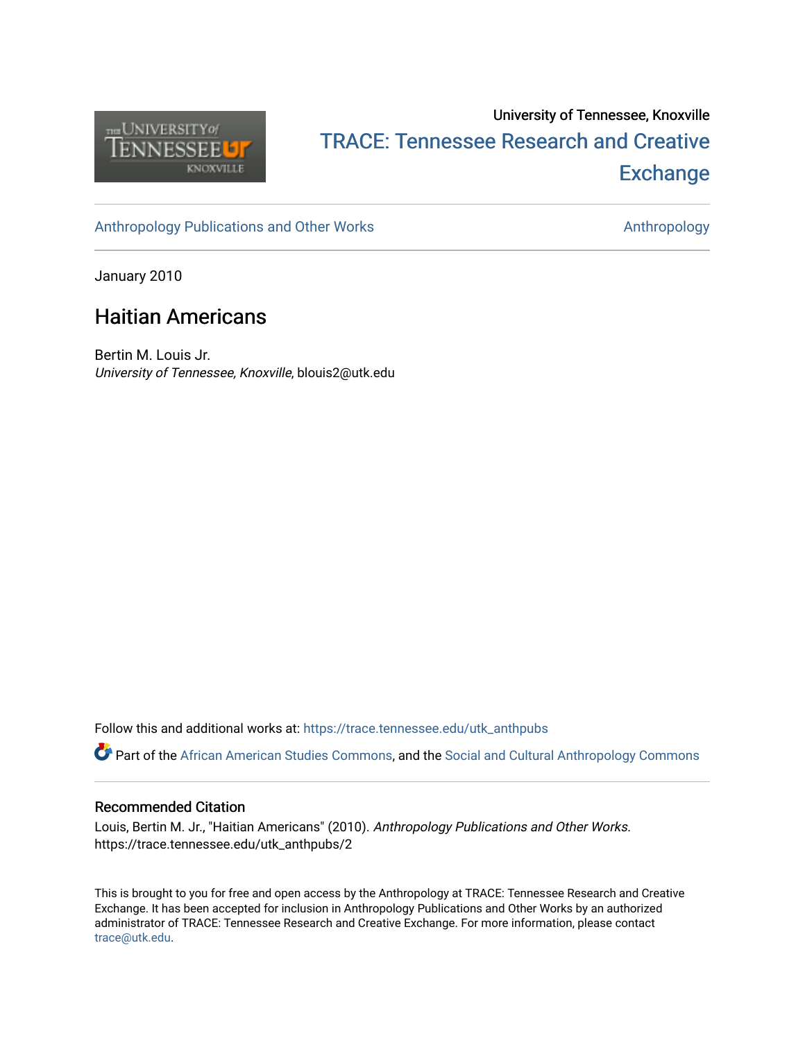

# University of Tennessee, Knoxville TRACE: T[ennessee Research and Cr](https://trace.tennessee.edu/)eative **Exchange**

#### [Anthropology Publications and Other Works](https://trace.tennessee.edu/utk_anthpubs) **Anthropology** Anthropology

January 2010

# Haitian Americans

Bertin M. Louis Jr. University of Tennessee, Knoxville, blouis2@utk.edu

Follow this and additional works at: [https://trace.tennessee.edu/utk\\_anthpubs](https://trace.tennessee.edu/utk_anthpubs?utm_source=trace.tennessee.edu%2Futk_anthpubs%2F2&utm_medium=PDF&utm_campaign=PDFCoverPages)

**C**<sup> $\bullet$ </sup> Part of the [African American Studies Commons,](https://network.bepress.com/hgg/discipline/567?utm_source=trace.tennessee.edu%2Futk_anthpubs%2F2&utm_medium=PDF&utm_campaign=PDFCoverPages) and the [Social and Cultural Anthropology Commons](https://network.bepress.com/hgg/discipline/323?utm_source=trace.tennessee.edu%2Futk_anthpubs%2F2&utm_medium=PDF&utm_campaign=PDFCoverPages)

#### Recommended Citation

Louis, Bertin M. Jr., "Haitian Americans" (2010). Anthropology Publications and Other Works. https://trace.tennessee.edu/utk\_anthpubs/2

This is brought to you for free and open access by the Anthropology at TRACE: Tennessee Research and Creative Exchange. It has been accepted for inclusion in Anthropology Publications and Other Works by an authorized administrator of TRACE: Tennessee Research and Creative Exchange. For more information, please contact [trace@utk.edu.](mailto:trace@utk.edu)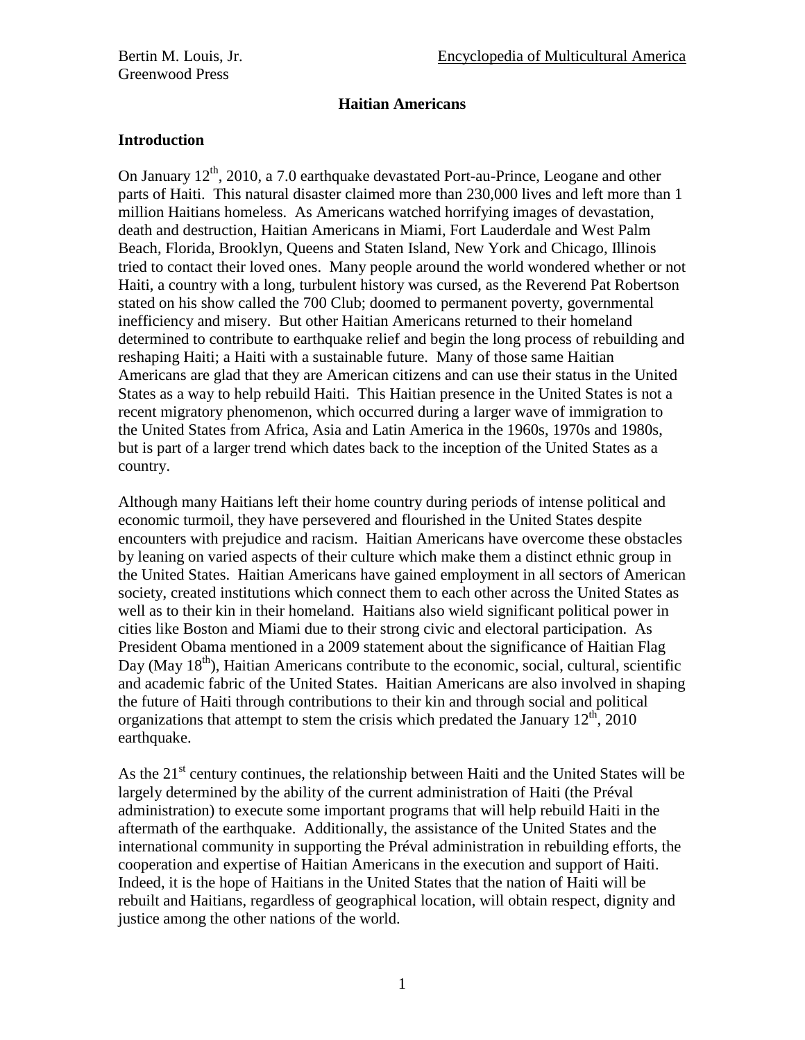#### **Haitian Americans**

#### **Introduction**

On January  $12^{th}$ , 2010, a 7.0 earthquake devastated Port-au-Prince, Leogane and other parts of Haiti. This natural disaster claimed more than 230,000 lives and left more than 1 million Haitians homeless. As Americans watched horrifying images of devastation, death and destruction, Haitian Americans in Miami, Fort Lauderdale and West Palm Beach, Florida, Brooklyn, Queens and Staten Island, New York and Chicago, Illinois tried to contact their loved ones. Many people around the world wondered whether or not Haiti, a country with a long, turbulent history was cursed, as the Reverend Pat Robertson stated on his show called the 700 Club; doomed to permanent poverty, governmental inefficiency and misery. But other Haitian Americans returned to their homeland determined to contribute to earthquake relief and begin the long process of rebuilding and reshaping Haiti; a Haiti with a sustainable future. Many of those same Haitian Americans are glad that they are American citizens and can use their status in the United States as a way to help rebuild Haiti. This Haitian presence in the United States is not a recent migratory phenomenon, which occurred during a larger wave of immigration to the United States from Africa, Asia and Latin America in the 1960s, 1970s and 1980s, but is part of a larger trend which dates back to the inception of the United States as a country.

Although many Haitians left their home country during periods of intense political and economic turmoil, they have persevered and flourished in the United States despite encounters with prejudice and racism. Haitian Americans have overcome these obstacles by leaning on varied aspects of their culture which make them a distinct ethnic group in the United States. Haitian Americans have gained employment in all sectors of American society, created institutions which connect them to each other across the United States as well as to their kin in their homeland. Haitians also wield significant political power in cities like Boston and Miami due to their strong civic and electoral participation. As President Obama mentioned in a 2009 statement about the significance of Haitian Flag Day (May  $18<sup>th</sup>$ ), Haitian Americans contribute to the economic, social, cultural, scientific and academic fabric of the United States. Haitian Americans are also involved in shaping the future of Haiti through contributions to their kin and through social and political organizations that attempt to stem the crisis which predated the January  $12<sup>th</sup>$ , 2010 earthquake.

As the  $21<sup>st</sup>$  century continues, the relationship between Haiti and the United States will be largely determined by the ability of the current administration of Haiti (the Préval administration) to execute some important programs that will help rebuild Haiti in the aftermath of the earthquake. Additionally, the assistance of the United States and the international community in supporting the Préval administration in rebuilding efforts, the cooperation and expertise of Haitian Americans in the execution and support of Haiti. Indeed, it is the hope of Haitians in the United States that the nation of Haiti will be rebuilt and Haitians, regardless of geographical location, will obtain respect, dignity and justice among the other nations of the world.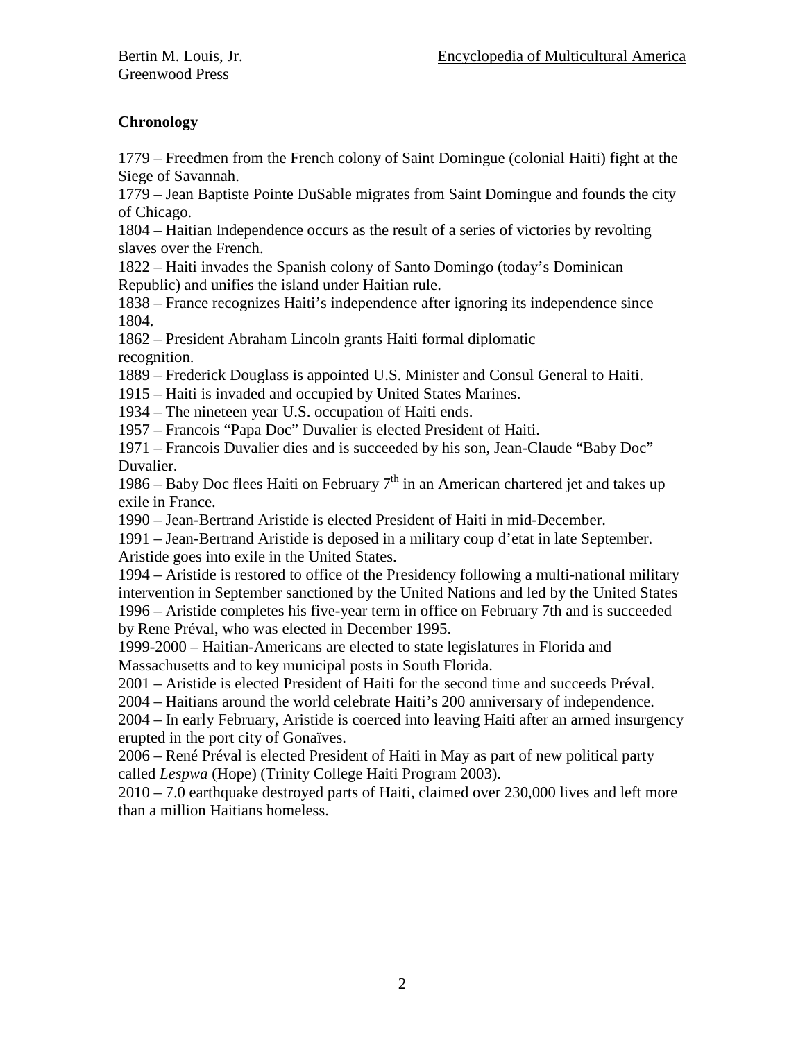# **Chronology**

1779 – Freedmen from the French colony of Saint Domingue (colonial Haiti) fight at the Siege of Savannah.

1779 – Jean Baptiste Pointe DuSable migrates from Saint Domingue and founds the city of Chicago.

1804 – Haitian Independence occurs as the result of a series of victories by revolting slaves over the French.

1822 – Haiti invades the Spanish colony of Santo Domingo (today's Dominican Republic) and unifies the island under Haitian rule.

1838 – France recognizes Haiti's independence after ignoring its independence since 1804.

1862 – President Abraham Lincoln grants Haiti formal diplomatic recognition.

1889 – Frederick Douglass is appointed U.S. Minister and Consul General to Haiti.

1915 – Haiti is invaded and occupied by United States Marines.

1934 – The nineteen year U.S. occupation of Haiti ends.

1957 – Francois "Papa Doc" Duvalier is elected President of Haiti.

1971 – Francois Duvalier dies and is succeeded by his son, Jean-Claude "Baby Doc" Duvalier.

1986 – Baby Doc flees Haiti on February  $7<sup>th</sup>$  in an American chartered jet and takes up exile in France.

1990 – Jean-Bertrand Aristide is elected President of Haiti in mid-December.

1991 – Jean-Bertrand Aristide is deposed in a military coup d'etat in late September. Aristide goes into exile in the United States.

1994 – Aristide is restored to office of the Presidency following a multi-national military intervention in September sanctioned by the United Nations and led by the United States 1996 – Aristide completes his five-year term in office on February 7th and is succeeded by Rene Préval, who was elected in December 1995.

1999-2000 – Haitian-Americans are elected to state legislatures in Florida and Massachusetts and to key municipal posts in South Florida.

2001 – Aristide is elected President of Haiti for the second time and succeeds Préval.

2004 – Haitians around the world celebrate Haiti's 200 anniversary of independence.

2004 – In early February, Aristide is coerced into leaving Haiti after an armed insurgency erupted in the port city of Gonaïves.

2006 – René Préval is elected President of Haiti in May as part of new political party called *Lespwa* (Hope) (Trinity College Haiti Program 2003).

2010 – 7.0 earthquake destroyed parts of Haiti, claimed over 230,000 lives and left more than a million Haitians homeless.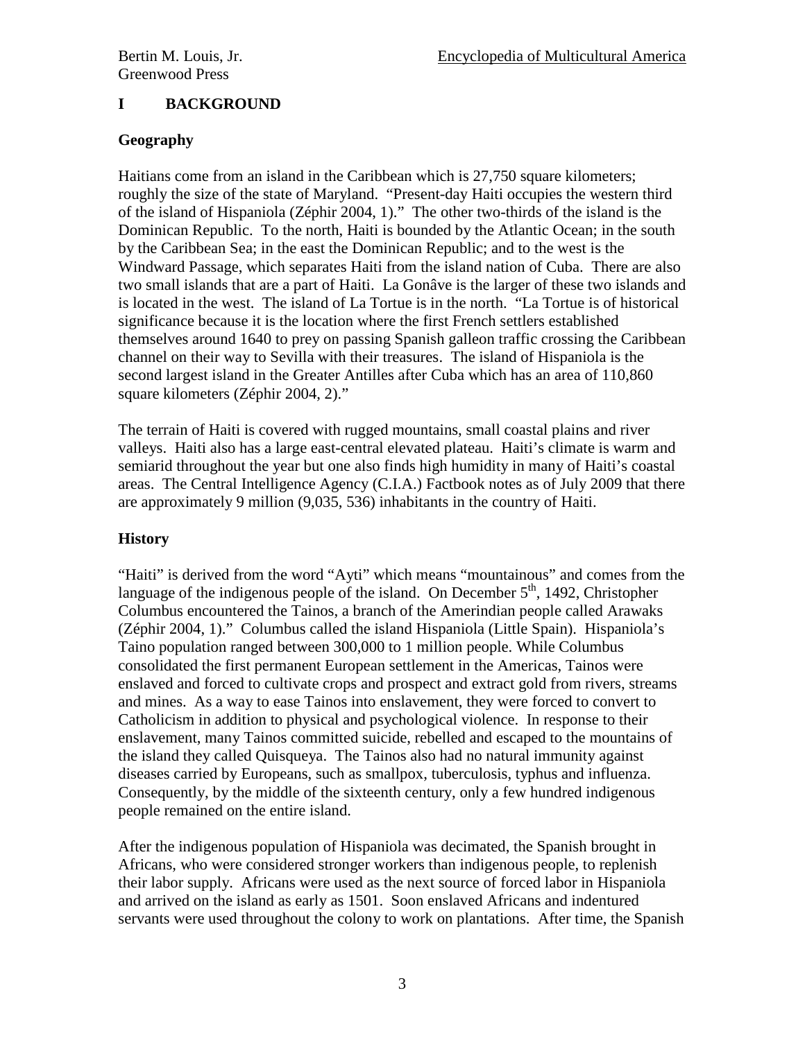# **I BACKGROUND**

# **Geography**

Haitians come from an island in the Caribbean which is 27,750 square kilometers; roughly the size of the state of Maryland. "Present-day Haiti occupies the western third of the island of Hispaniola (Zéphir 2004, 1)." The other two-thirds of the island is the Dominican Republic. To the north, Haiti is bounded by the Atlantic Ocean; in the south by the Caribbean Sea; in the east the Dominican Republic; and to the west is the Windward Passage, which separates Haiti from the island nation of Cuba. There are also two small islands that are a part of Haiti. La Gonâve is the larger of these two islands and is located in the west. The island of La Tortue is in the north. "La Tortue is of historical significance because it is the location where the first French settlers established themselves around 1640 to prey on passing Spanish galleon traffic crossing the Caribbean channel on their way to Sevilla with their treasures. The island of Hispaniola is the second largest island in the Greater Antilles after Cuba which has an area of 110,860 square kilometers (Zéphir 2004, 2)."

The terrain of Haiti is covered with rugged mountains, small coastal plains and river valleys. Haiti also has a large east-central elevated plateau. Haiti's climate is warm and semiarid throughout the year but one also finds high humidity in many of Haiti's coastal areas. The Central Intelligence Agency (C.I.A.) Factbook notes as of July 2009 that there are approximately 9 million (9,035, 536) inhabitants in the country of Haiti.

# **History**

"Haiti" is derived from the word "Ayti" which means "mountainous" and comes from the language of the indigenous people of the island. On December  $5<sup>th</sup>$ , 1492, Christopher Columbus encountered the Tainos, a branch of the Amerindian people called Arawaks (Zéphir 2004, 1)." Columbus called the island Hispaniola (Little Spain). Hispaniola's Taino population ranged between 300,000 to 1 million people. While Columbus consolidated the first permanent European settlement in the Americas, Tainos were enslaved and forced to cultivate crops and prospect and extract gold from rivers, streams and mines. As a way to ease Tainos into enslavement, they were forced to convert to Catholicism in addition to physical and psychological violence. In response to their enslavement, many Tainos committed suicide, rebelled and escaped to the mountains of the island they called Quisqueya. The Tainos also had no natural immunity against diseases carried by Europeans, such as smallpox, tuberculosis, typhus and influenza. Consequently, by the middle of the sixteenth century, only a few hundred indigenous people remained on the entire island.

After the indigenous population of Hispaniola was decimated, the Spanish brought in Africans, who were considered stronger workers than indigenous people, to replenish their labor supply. Africans were used as the next source of forced labor in Hispaniola and arrived on the island as early as 1501. Soon enslaved Africans and indentured servants were used throughout the colony to work on plantations. After time, the Spanish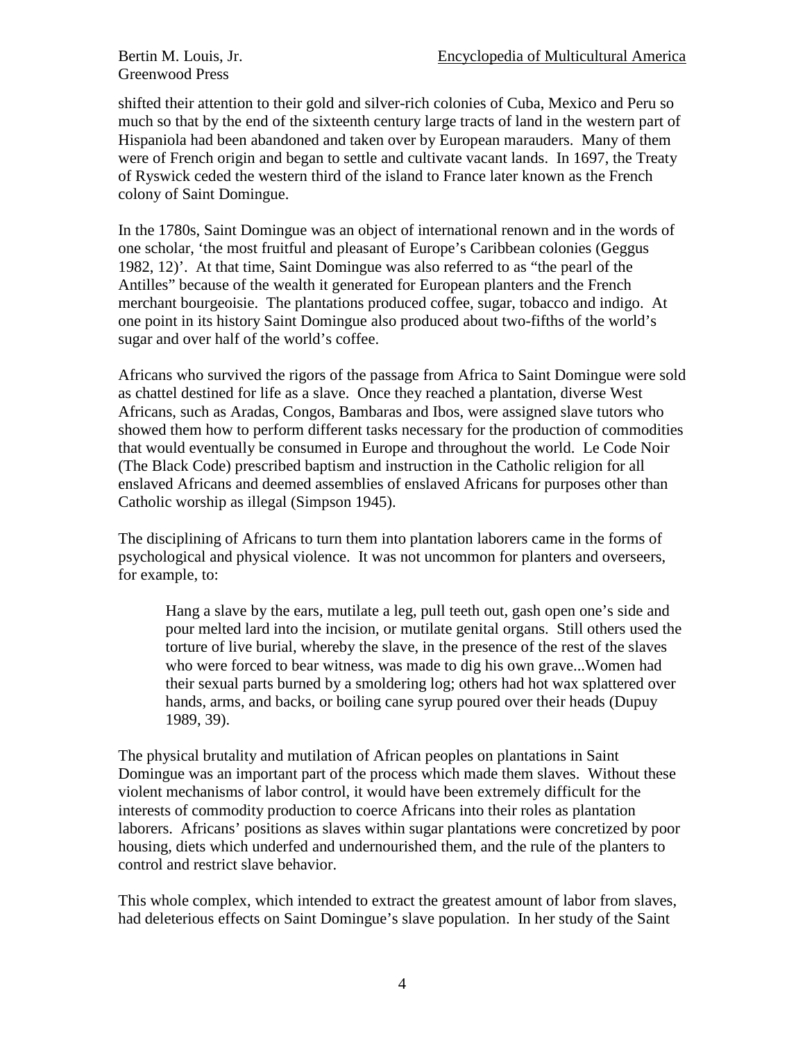shifted their attention to their gold and silver-rich colonies of Cuba, Mexico and Peru so much so that by the end of the sixteenth century large tracts of land in the western part of Hispaniola had been abandoned and taken over by European marauders. Many of them were of French origin and began to settle and cultivate vacant lands. In 1697, the Treaty of Ryswick ceded the western third of the island to France later known as the French colony of Saint Domingue.

In the 1780s, Saint Domingue was an object of international renown and in the words of one scholar, 'the most fruitful and pleasant of Europe's Caribbean colonies (Geggus 1982, 12)'. At that time, Saint Domingue was also referred to as "the pearl of the Antilles" because of the wealth it generated for European planters and the French merchant bourgeoisie. The plantations produced coffee, sugar, tobacco and indigo. At one point in its history Saint Domingue also produced about two-fifths of the world's sugar and over half of the world's coffee.

Africans who survived the rigors of the passage from Africa to Saint Domingue were sold as chattel destined for life as a slave. Once they reached a plantation, diverse West Africans, such as Aradas, Congos, Bambaras and Ibos, were assigned slave tutors who showed them how to perform different tasks necessary for the production of commodities that would eventually be consumed in Europe and throughout the world. Le Code Noir (The Black Code) prescribed baptism and instruction in the Catholic religion for all enslaved Africans and deemed assemblies of enslaved Africans for purposes other than Catholic worship as illegal (Simpson 1945).

The disciplining of Africans to turn them into plantation laborers came in the forms of psychological and physical violence. It was not uncommon for planters and overseers, for example, to:

Hang a slave by the ears, mutilate a leg, pull teeth out, gash open one's side and pour melted lard into the incision, or mutilate genital organs. Still others used the torture of live burial, whereby the slave, in the presence of the rest of the slaves who were forced to bear witness, was made to dig his own grave...Women had their sexual parts burned by a smoldering log; others had hot wax splattered over hands, arms, and backs, or boiling cane syrup poured over their heads (Dupuy 1989, 39).

The physical brutality and mutilation of African peoples on plantations in Saint Domingue was an important part of the process which made them slaves. Without these violent mechanisms of labor control, it would have been extremely difficult for the interests of commodity production to coerce Africans into their roles as plantation laborers. Africans' positions as slaves within sugar plantations were concretized by poor housing, diets which underfed and undernourished them, and the rule of the planters to control and restrict slave behavior.

This whole complex, which intended to extract the greatest amount of labor from slaves, had deleterious effects on Saint Domingue's slave population. In her study of the Saint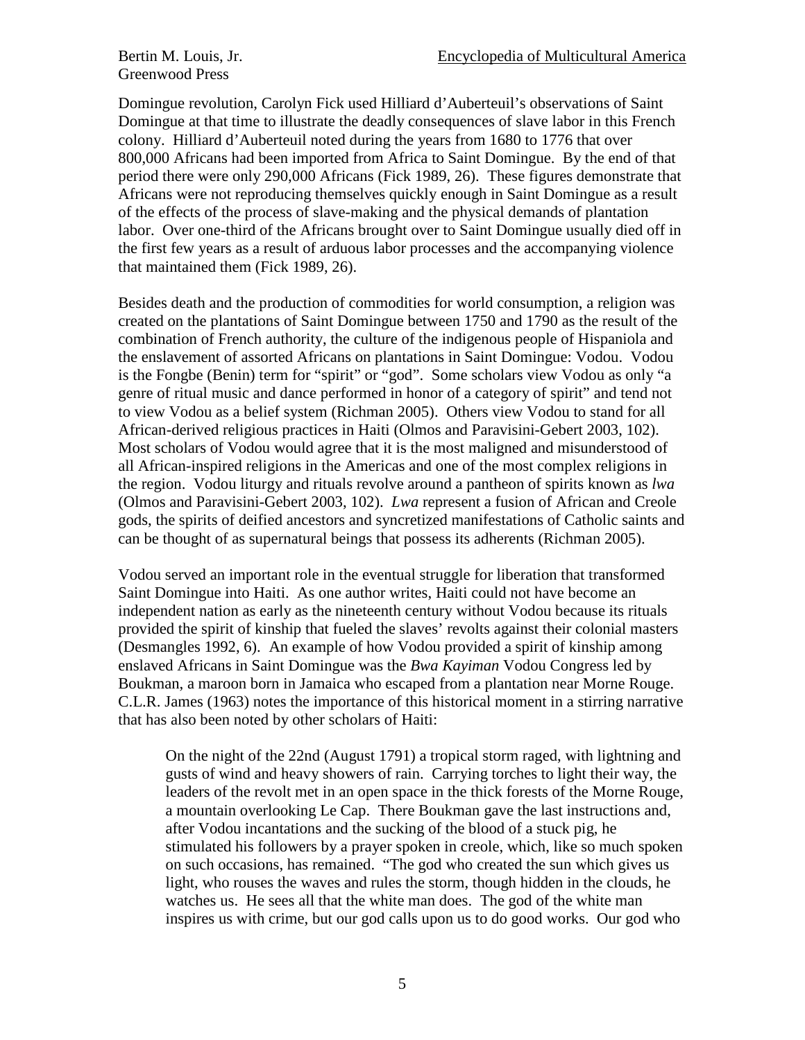Domingue revolution, Carolyn Fick used Hilliard d'Auberteuil's observations of Saint Domingue at that time to illustrate the deadly consequences of slave labor in this French colony. Hilliard d'Auberteuil noted during the years from 1680 to 1776 that over 800,000 Africans had been imported from Africa to Saint Domingue. By the end of that period there were only 290,000 Africans (Fick 1989, 26). These figures demonstrate that Africans were not reproducing themselves quickly enough in Saint Domingue as a result of the effects of the process of slave-making and the physical demands of plantation labor. Over one-third of the Africans brought over to Saint Domingue usually died off in the first few years as a result of arduous labor processes and the accompanying violence that maintained them (Fick 1989, 26).

Besides death and the production of commodities for world consumption, a religion was created on the plantations of Saint Domingue between 1750 and 1790 as the result of the combination of French authority, the culture of the indigenous people of Hispaniola and the enslavement of assorted Africans on plantations in Saint Domingue: Vodou. Vodou is the Fongbe (Benin) term for "spirit" or "god". Some scholars view Vodou as only "a genre of ritual music and dance performed in honor of a category of spirit" and tend not to view Vodou as a belief system (Richman 2005). Others view Vodou to stand for all African-derived religious practices in Haiti (Olmos and Paravisini-Gebert 2003, 102). Most scholars of Vodou would agree that it is the most maligned and misunderstood of all African-inspired religions in the Americas and one of the most complex religions in the region. Vodou liturgy and rituals revolve around a pantheon of spirits known as *lwa* (Olmos and Paravisini-Gebert 2003, 102). *Lwa* represent a fusion of African and Creole gods, the spirits of deified ancestors and syncretized manifestations of Catholic saints and can be thought of as supernatural beings that possess its adherents (Richman 2005).

Vodou served an important role in the eventual struggle for liberation that transformed Saint Domingue into Haiti. As one author writes, Haiti could not have become an independent nation as early as the nineteenth century without Vodou because its rituals provided the spirit of kinship that fueled the slaves' revolts against their colonial masters (Desmangles 1992, 6). An example of how Vodou provided a spirit of kinship among enslaved Africans in Saint Domingue was the *Bwa Kayiman* Vodou Congress led by Boukman, a maroon born in Jamaica who escaped from a plantation near Morne Rouge. C.L.R. James (1963) notes the importance of this historical moment in a stirring narrative that has also been noted by other scholars of Haiti:

On the night of the 22nd (August 1791) a tropical storm raged, with lightning and gusts of wind and heavy showers of rain. Carrying torches to light their way, the leaders of the revolt met in an open space in the thick forests of the Morne Rouge, a mountain overlooking Le Cap. There Boukman gave the last instructions and, after Vodou incantations and the sucking of the blood of a stuck pig, he stimulated his followers by a prayer spoken in creole, which, like so much spoken on such occasions, has remained. "The god who created the sun which gives us light, who rouses the waves and rules the storm, though hidden in the clouds, he watches us. He sees all that the white man does. The god of the white man inspires us with crime, but our god calls upon us to do good works. Our god who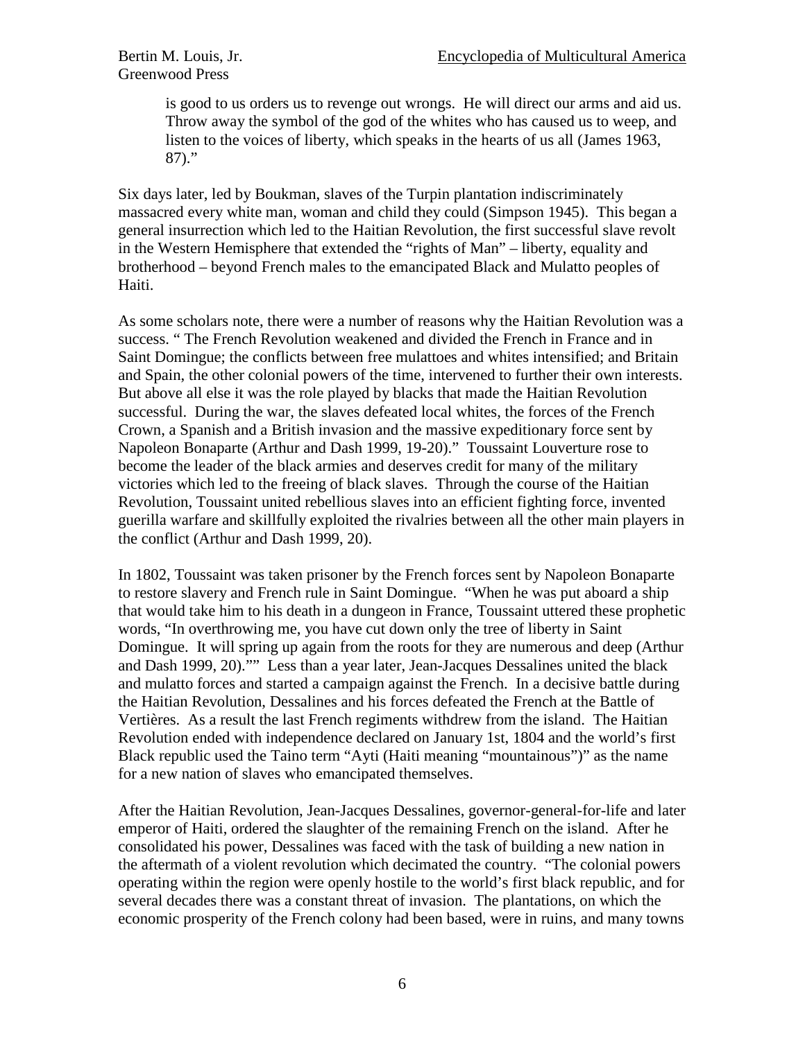is good to us orders us to revenge out wrongs. He will direct our arms and aid us. Throw away the symbol of the god of the whites who has caused us to weep, and listen to the voices of liberty, which speaks in the hearts of us all (James 1963, 87)."

Six days later, led by Boukman, slaves of the Turpin plantation indiscriminately massacred every white man, woman and child they could (Simpson 1945). This began a general insurrection which led to the Haitian Revolution, the first successful slave revolt in the Western Hemisphere that extended the "rights of Man" – liberty, equality and brotherhood – beyond French males to the emancipated Black and Mulatto peoples of Haiti.

As some scholars note, there were a number of reasons why the Haitian Revolution was a success. " The French Revolution weakened and divided the French in France and in Saint Domingue; the conflicts between free mulattoes and whites intensified; and Britain and Spain, the other colonial powers of the time, intervened to further their own interests. But above all else it was the role played by blacks that made the Haitian Revolution successful. During the war, the slaves defeated local whites, the forces of the French Crown, a Spanish and a British invasion and the massive expeditionary force sent by Napoleon Bonaparte (Arthur and Dash 1999, 19-20)." Toussaint Louverture rose to become the leader of the black armies and deserves credit for many of the military victories which led to the freeing of black slaves. Through the course of the Haitian Revolution, Toussaint united rebellious slaves into an efficient fighting force, invented guerilla warfare and skillfully exploited the rivalries between all the other main players in the conflict (Arthur and Dash 1999, 20).

In 1802, Toussaint was taken prisoner by the French forces sent by Napoleon Bonaparte to restore slavery and French rule in Saint Domingue. "When he was put aboard a ship that would take him to his death in a dungeon in France, Toussaint uttered these prophetic words, "In overthrowing me, you have cut down only the tree of liberty in Saint Domingue. It will spring up again from the roots for they are numerous and deep (Arthur and Dash 1999, 20)."" Less than a year later, Jean-Jacques Dessalines united the black and mulatto forces and started a campaign against the French. In a decisive battle during the Haitian Revolution, Dessalines and his forces defeated the French at the Battle of Vertières. As a result the last French regiments withdrew from the island. The Haitian Revolution ended with independence declared on January 1st, 1804 and the world's first Black republic used the Taino term "Ayti (Haiti meaning "mountainous")" as the name for a new nation of slaves who emancipated themselves.

After the Haitian Revolution, Jean-Jacques Dessalines, governor-general-for-life and later emperor of Haiti, ordered the slaughter of the remaining French on the island. After he consolidated his power, Dessalines was faced with the task of building a new nation in the aftermath of a violent revolution which decimated the country. "The colonial powers operating within the region were openly hostile to the world's first black republic, and for several decades there was a constant threat of invasion. The plantations, on which the economic prosperity of the French colony had been based, were in ruins, and many towns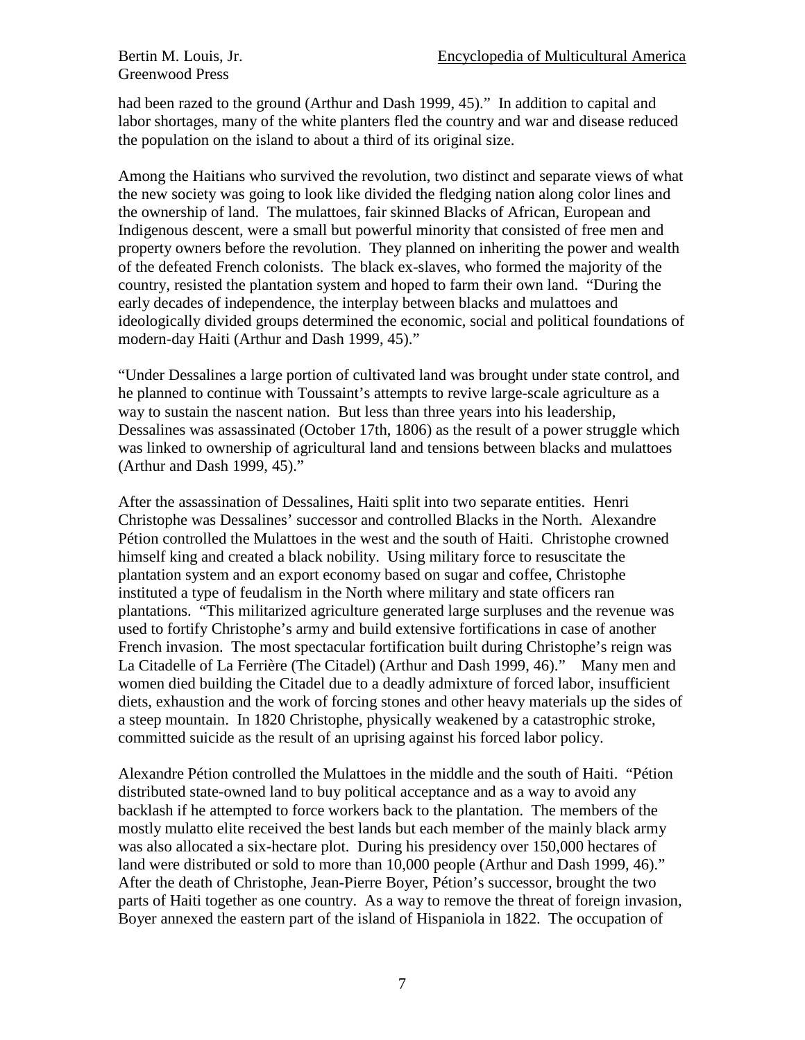had been razed to the ground (Arthur and Dash 1999, 45)." In addition to capital and labor shortages, many of the white planters fled the country and war and disease reduced the population on the island to about a third of its original size.

Among the Haitians who survived the revolution, two distinct and separate views of what the new society was going to look like divided the fledging nation along color lines and the ownership of land. The mulattoes, fair skinned Blacks of African, European and Indigenous descent, were a small but powerful minority that consisted of free men and property owners before the revolution. They planned on inheriting the power and wealth of the defeated French colonists. The black ex-slaves, who formed the majority of the country, resisted the plantation system and hoped to farm their own land. "During the early decades of independence, the interplay between blacks and mulattoes and ideologically divided groups determined the economic, social and political foundations of modern-day Haiti (Arthur and Dash 1999, 45)."

"Under Dessalines a large portion of cultivated land was brought under state control, and he planned to continue with Toussaint's attempts to revive large-scale agriculture as a way to sustain the nascent nation. But less than three years into his leadership, Dessalines was assassinated (October 17th, 1806) as the result of a power struggle which was linked to ownership of agricultural land and tensions between blacks and mulattoes (Arthur and Dash 1999, 45)."

After the assassination of Dessalines, Haiti split into two separate entities. Henri Christophe was Dessalines' successor and controlled Blacks in the North. Alexandre Pétion controlled the Mulattoes in the west and the south of Haiti. Christophe crowned himself king and created a black nobility. Using military force to resuscitate the plantation system and an export economy based on sugar and coffee, Christophe instituted a type of feudalism in the North where military and state officers ran plantations. "This militarized agriculture generated large surpluses and the revenue was used to fortify Christophe's army and build extensive fortifications in case of another French invasion. The most spectacular fortification built during Christophe's reign was La Citadelle of La Ferrière (The Citadel) (Arthur and Dash 1999, 46)." Many men and women died building the Citadel due to a deadly admixture of forced labor, insufficient diets, exhaustion and the work of forcing stones and other heavy materials up the sides of a steep mountain. In 1820 Christophe, physically weakened by a catastrophic stroke, committed suicide as the result of an uprising against his forced labor policy.

Alexandre Pétion controlled the Mulattoes in the middle and the south of Haiti. "Pétion distributed state-owned land to buy political acceptance and as a way to avoid any backlash if he attempted to force workers back to the plantation. The members of the mostly mulatto elite received the best lands but each member of the mainly black army was also allocated a six-hectare plot. During his presidency over 150,000 hectares of land were distributed or sold to more than 10,000 people (Arthur and Dash 1999, 46)." After the death of Christophe, Jean-Pierre Boyer, Pétion's successor, brought the two parts of Haiti together as one country. As a way to remove the threat of foreign invasion, Boyer annexed the eastern part of the island of Hispaniola in 1822. The occupation of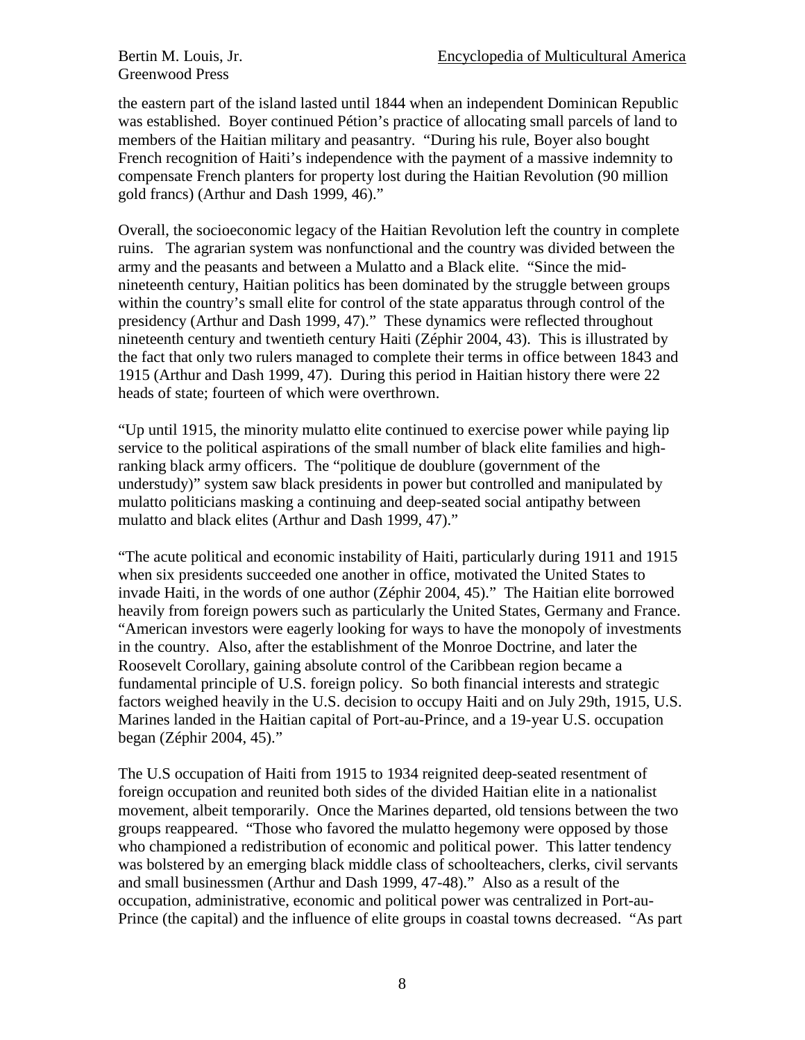the eastern part of the island lasted until 1844 when an independent Dominican Republic was established. Boyer continued Pétion's practice of allocating small parcels of land to members of the Haitian military and peasantry. "During his rule, Boyer also bought French recognition of Haiti's independence with the payment of a massive indemnity to compensate French planters for property lost during the Haitian Revolution (90 million gold francs) (Arthur and Dash 1999, 46)."

Overall, the socioeconomic legacy of the Haitian Revolution left the country in complete ruins. The agrarian system was nonfunctional and the country was divided between the army and the peasants and between a Mulatto and a Black elite. "Since the midnineteenth century, Haitian politics has been dominated by the struggle between groups within the country's small elite for control of the state apparatus through control of the presidency (Arthur and Dash 1999, 47)." These dynamics were reflected throughout nineteenth century and twentieth century Haiti (Zéphir 2004, 43). This is illustrated by the fact that only two rulers managed to complete their terms in office between 1843 and 1915 (Arthur and Dash 1999, 47). During this period in Haitian history there were 22 heads of state; fourteen of which were overthrown.

"Up until 1915, the minority mulatto elite continued to exercise power while paying lip service to the political aspirations of the small number of black elite families and highranking black army officers. The "politique de doublure (government of the understudy)" system saw black presidents in power but controlled and manipulated by mulatto politicians masking a continuing and deep-seated social antipathy between mulatto and black elites (Arthur and Dash 1999, 47)."

"The acute political and economic instability of Haiti, particularly during 1911 and 1915 when six presidents succeeded one another in office, motivated the United States to invade Haiti, in the words of one author (Zéphir 2004, 45)." The Haitian elite borrowed heavily from foreign powers such as particularly the United States, Germany and France. "American investors were eagerly looking for ways to have the monopoly of investments in the country. Also, after the establishment of the Monroe Doctrine, and later the Roosevelt Corollary, gaining absolute control of the Caribbean region became a fundamental principle of U.S. foreign policy. So both financial interests and strategic factors weighed heavily in the U.S. decision to occupy Haiti and on July 29th, 1915, U.S. Marines landed in the Haitian capital of Port-au-Prince, and a 19-year U.S. occupation began (Zéphir 2004, 45)."

The U.S occupation of Haiti from 1915 to 1934 reignited deep-seated resentment of foreign occupation and reunited both sides of the divided Haitian elite in a nationalist movement, albeit temporarily. Once the Marines departed, old tensions between the two groups reappeared. "Those who favored the mulatto hegemony were opposed by those who championed a redistribution of economic and political power. This latter tendency was bolstered by an emerging black middle class of schoolteachers, clerks, civil servants and small businessmen (Arthur and Dash 1999, 47-48)." Also as a result of the occupation, administrative, economic and political power was centralized in Port-au-Prince (the capital) and the influence of elite groups in coastal towns decreased. "As part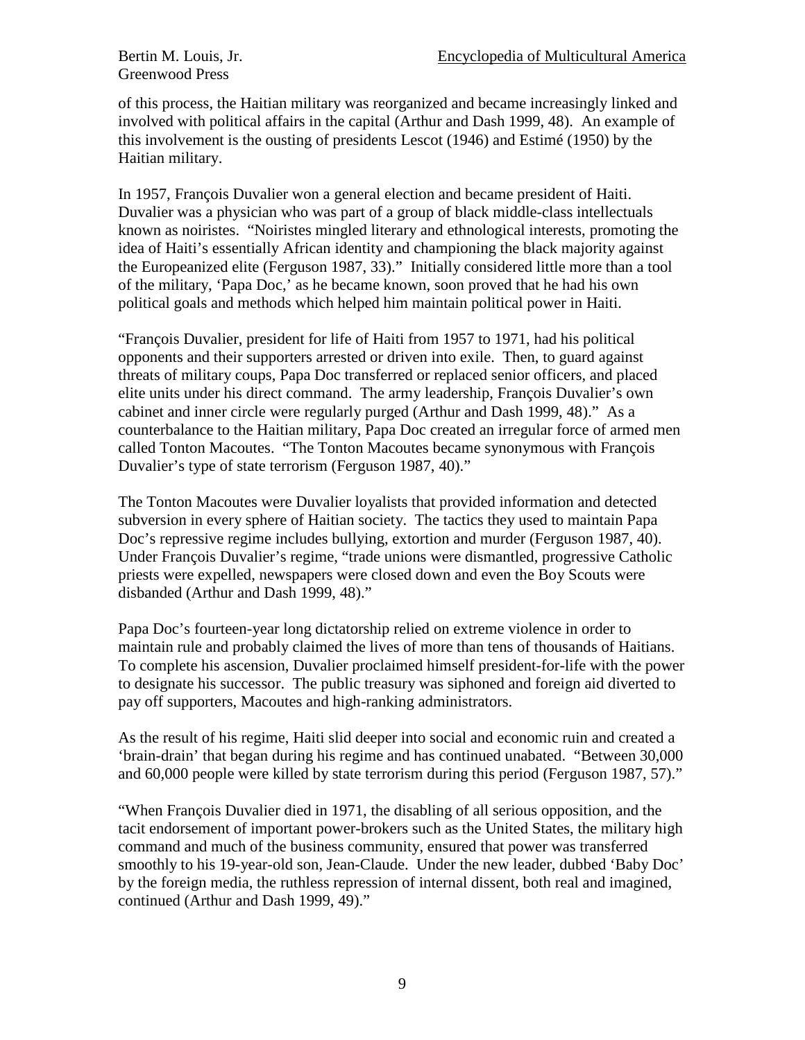of this process, the Haitian military was reorganized and became increasingly linked and involved with political affairs in the capital (Arthur and Dash 1999, 48). An example of this involvement is the ousting of presidents Lescot (1946) and Estimé (1950) by the Haitian military.

In 1957, François Duvalier won a general election and became president of Haiti. Duvalier was a physician who was part of a group of black middle-class intellectuals known as noiristes. "Noiristes mingled literary and ethnological interests, promoting the idea of Haiti's essentially African identity and championing the black majority against the Europeanized elite (Ferguson 1987, 33)." Initially considered little more than a tool of the military, 'Papa Doc,' as he became known, soon proved that he had his own political goals and methods which helped him maintain political power in Haiti.

"François Duvalier, president for life of Haiti from 1957 to 1971, had his political opponents and their supporters arrested or driven into exile. Then, to guard against threats of military coups, Papa Doc transferred or replaced senior officers, and placed elite units under his direct command. The army leadership, François Duvalier's own cabinet and inner circle were regularly purged (Arthur and Dash 1999, 48)." As a counterbalance to the Haitian military, Papa Doc created an irregular force of armed men called Tonton Macoutes. "The Tonton Macoutes became synonymous with François Duvalier's type of state terrorism (Ferguson 1987, 40)."

The Tonton Macoutes were Duvalier loyalists that provided information and detected subversion in every sphere of Haitian society. The tactics they used to maintain Papa Doc's repressive regime includes bullying, extortion and murder (Ferguson 1987, 40). Under François Duvalier's regime, "trade unions were dismantled, progressive Catholic priests were expelled, newspapers were closed down and even the Boy Scouts were disbanded (Arthur and Dash 1999, 48)."

Papa Doc's fourteen-year long dictatorship relied on extreme violence in order to maintain rule and probably claimed the lives of more than tens of thousands of Haitians. To complete his ascension, Duvalier proclaimed himself president-for-life with the power to designate his successor. The public treasury was siphoned and foreign aid diverted to pay off supporters, Macoutes and high-ranking administrators.

As the result of his regime, Haiti slid deeper into social and economic ruin and created a 'brain-drain' that began during his regime and has continued unabated. "Between 30,000 and 60,000 people were killed by state terrorism during this period (Ferguson 1987, 57)."

"When François Duvalier died in 1971, the disabling of all serious opposition, and the tacit endorsement of important power-brokers such as the United States, the military high command and much of the business community, ensured that power was transferred smoothly to his 19-year-old son, Jean-Claude. Under the new leader, dubbed 'Baby Doc' by the foreign media, the ruthless repression of internal dissent, both real and imagined, continued (Arthur and Dash 1999, 49)."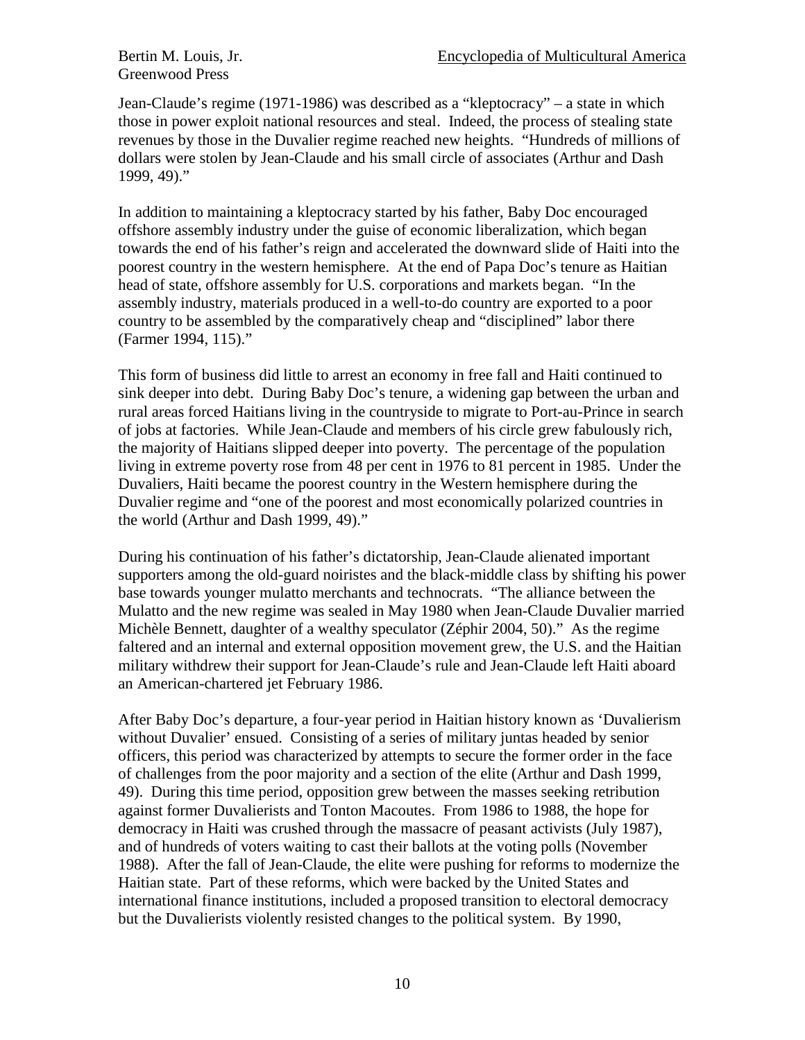Jean-Claude's regime (1971-1986) was described as a "kleptocracy" – a state in which those in power exploit national resources and steal. Indeed, the process of stealing state revenues by those in the Duvalier regime reached new heights. "Hundreds of millions of dollars were stolen by Jean-Claude and his small circle of associates (Arthur and Dash 1999, 49)."

In addition to maintaining a kleptocracy started by his father, Baby Doc encouraged offshore assembly industry under the guise of economic liberalization, which began towards the end of his father's reign and accelerated the downward slide of Haiti into the poorest country in the western hemisphere. At the end of Papa Doc's tenure as Haitian head of state, offshore assembly for U.S. corporations and markets began. "In the assembly industry, materials produced in a well-to-do country are exported to a poor country to be assembled by the comparatively cheap and "disciplined" labor there (Farmer 1994, 115)."

This form of business did little to arrest an economy in free fall and Haiti continued to sink deeper into debt. During Baby Doc's tenure, a widening gap between the urban and rural areas forced Haitians living in the countryside to migrate to Port-au-Prince in search of jobs at factories. While Jean-Claude and members of his circle grew fabulously rich, the majority of Haitians slipped deeper into poverty. The percentage of the population living in extreme poverty rose from 48 per cent in 1976 to 81 percent in 1985. Under the Duvaliers, Haiti became the poorest country in the Western hemisphere during the Duvalier regime and "one of the poorest and most economically polarized countries in the world (Arthur and Dash 1999, 49)."

During his continuation of his father's dictatorship, Jean-Claude alienated important supporters among the old-guard noiristes and the black-middle class by shifting his power base towards younger mulatto merchants and technocrats. "The alliance between the Mulatto and the new regime was sealed in May 1980 when Jean-Claude Duvalier married Michèle Bennett, daughter of a wealthy speculator (Zéphir 2004, 50)." As the regime faltered and an internal and external opposition movement grew, the U.S. and the Haitian military withdrew their support for Jean-Claude's rule and Jean-Claude left Haiti aboard an American-chartered jet February 1986.

After Baby Doc's departure, a four-year period in Haitian history known as 'Duvalierism without Duvalier' ensued. Consisting of a series of military juntas headed by senior officers, this period was characterized by attempts to secure the former order in the face of challenges from the poor majority and a section of the elite (Arthur and Dash 1999, 49). During this time period, opposition grew between the masses seeking retribution against former Duvalierists and Tonton Macoutes. From 1986 to 1988, the hope for democracy in Haiti was crushed through the massacre of peasant activists (July 1987), and of hundreds of voters waiting to cast their ballots at the voting polls (November 1988). After the fall of Jean-Claude, the elite were pushing for reforms to modernize the Haitian state. Part of these reforms, which were backed by the United States and international finance institutions, included a proposed transition to electoral democracy but the Duvalierists violently resisted changes to the political system. By 1990,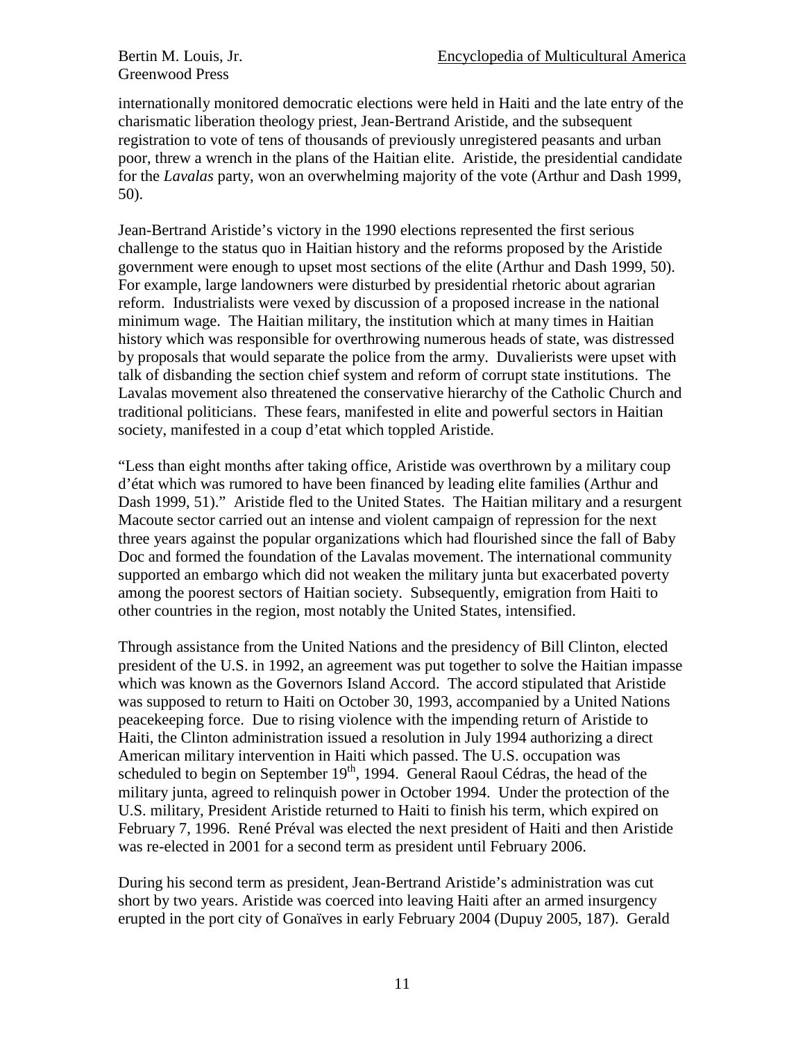internationally monitored democratic elections were held in Haiti and the late entry of the charismatic liberation theology priest, Jean-Bertrand Aristide, and the subsequent registration to vote of tens of thousands of previously unregistered peasants and urban poor, threw a wrench in the plans of the Haitian elite. Aristide, the presidential candidate for the *Lavalas* party, won an overwhelming majority of the vote (Arthur and Dash 1999, 50).

Jean-Bertrand Aristide's victory in the 1990 elections represented the first serious challenge to the status quo in Haitian history and the reforms proposed by the Aristide government were enough to upset most sections of the elite (Arthur and Dash 1999, 50). For example, large landowners were disturbed by presidential rhetoric about agrarian reform. Industrialists were vexed by discussion of a proposed increase in the national minimum wage. The Haitian military, the institution which at many times in Haitian history which was responsible for overthrowing numerous heads of state, was distressed by proposals that would separate the police from the army. Duvalierists were upset with talk of disbanding the section chief system and reform of corrupt state institutions. The Lavalas movement also threatened the conservative hierarchy of the Catholic Church and traditional politicians. These fears, manifested in elite and powerful sectors in Haitian society, manifested in a coup d'etat which toppled Aristide.

"Less than eight months after taking office, Aristide was overthrown by a military coup d'état which was rumored to have been financed by leading elite families (Arthur and Dash 1999, 51)." Aristide fled to the United States. The Haitian military and a resurgent Macoute sector carried out an intense and violent campaign of repression for the next three years against the popular organizations which had flourished since the fall of Baby Doc and formed the foundation of the Lavalas movement. The international community supported an embargo which did not weaken the military junta but exacerbated poverty among the poorest sectors of Haitian society. Subsequently, emigration from Haiti to other countries in the region, most notably the United States, intensified.

Through assistance from the United Nations and the presidency of Bill Clinton, elected president of the U.S. in 1992, an agreement was put together to solve the Haitian impasse which was known as the Governors Island Accord. The accord stipulated that Aristide was supposed to return to Haiti on October 30, 1993, accompanied by a United Nations peacekeeping force. Due to rising violence with the impending return of Aristide to Haiti, the Clinton administration issued a resolution in July 1994 authorizing a direct American military intervention in Haiti which passed. The U.S. occupation was scheduled to begin on September  $19<sup>th</sup>$ , 1994. General Raoul Cédras, the head of the military junta, agreed to relinquish power in October 1994. Under the protection of the U.S. military, President Aristide returned to Haiti to finish his term, which expired on February 7, 1996. René Préval was elected the next president of Haiti and then Aristide was re-elected in 2001 for a second term as president until February 2006.

During his second term as president, Jean-Bertrand Aristide's administration was cut short by two years. Aristide was coerced into leaving Haiti after an armed insurgency erupted in the port city of Gonaïves in early February 2004 (Dupuy 2005, 187). Gerald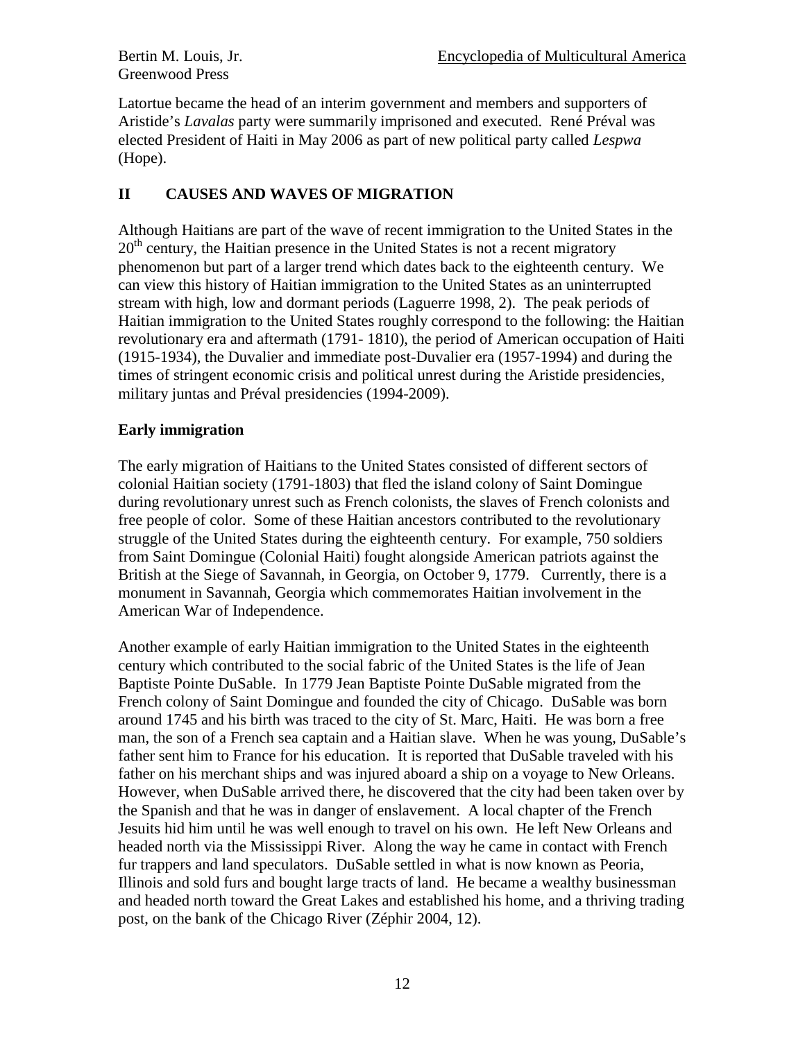Latortue became the head of an interim government and members and supporters of Aristide's *Lavalas* party were summarily imprisoned and executed. René Préval was elected President of Haiti in May 2006 as part of new political party called *Lespwa*  (Hope).

# **II CAUSES AND WAVES OF MIGRATION**

Although Haitians are part of the wave of recent immigration to the United States in the  $20<sup>th</sup>$  century, the Haitian presence in the United States is not a recent migratory phenomenon but part of a larger trend which dates back to the eighteenth century. We can view this history of Haitian immigration to the United States as an uninterrupted stream with high, low and dormant periods (Laguerre 1998, 2). The peak periods of Haitian immigration to the United States roughly correspond to the following: the Haitian revolutionary era and aftermath (1791- 1810), the period of American occupation of Haiti (1915-1934), the Duvalier and immediate post-Duvalier era (1957-1994) and during the times of stringent economic crisis and political unrest during the Aristide presidencies, military juntas and Préval presidencies (1994-2009).

# **Early immigration**

The early migration of Haitians to the United States consisted of different sectors of colonial Haitian society (1791-1803) that fled the island colony of Saint Domingue during revolutionary unrest such as French colonists, the slaves of French colonists and free people of color. Some of these Haitian ancestors contributed to the revolutionary struggle of the United States during the eighteenth century. For example, 750 soldiers from Saint Domingue (Colonial Haiti) fought alongside American patriots against the British at the Siege of Savannah, in Georgia, on October 9, 1779. Currently, there is a monument in Savannah, Georgia which commemorates Haitian involvement in the American War of Independence.

Another example of early Haitian immigration to the United States in the eighteenth century which contributed to the social fabric of the United States is the life of Jean Baptiste Pointe DuSable. In 1779 Jean Baptiste Pointe DuSable migrated from the French colony of Saint Domingue and founded the city of Chicago. DuSable was born around 1745 and his birth was traced to the city of St. Marc, Haiti. He was born a free man, the son of a French sea captain and a Haitian slave. When he was young, DuSable's father sent him to France for his education. It is reported that DuSable traveled with his father on his merchant ships and was injured aboard a ship on a voyage to New Orleans. However, when DuSable arrived there, he discovered that the city had been taken over by the Spanish and that he was in danger of enslavement. A local chapter of the French Jesuits hid him until he was well enough to travel on his own. He left New Orleans and headed north via the Mississippi River. Along the way he came in contact with French fur trappers and land speculators. DuSable settled in what is now known as Peoria, Illinois and sold furs and bought large tracts of land. He became a wealthy businessman and headed north toward the Great Lakes and established his home, and a thriving trading post, on the bank of the Chicago River (Zéphir 2004, 12).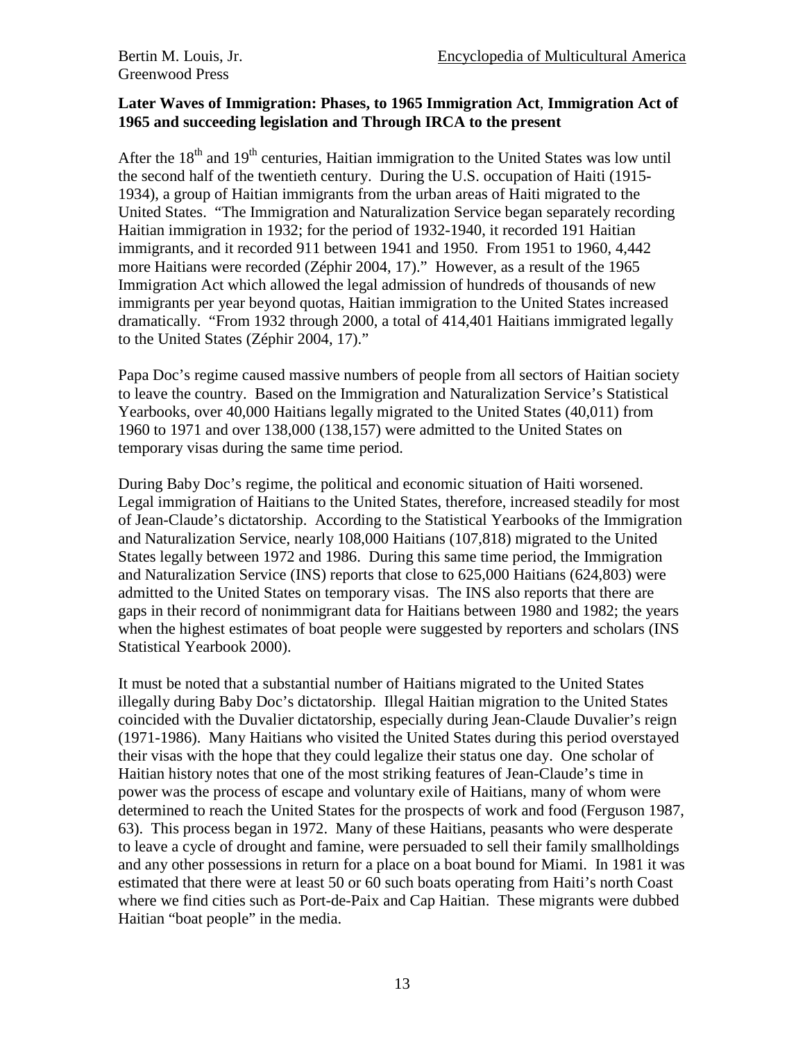# **Later Waves of Immigration: Phases, to 1965 Immigration Act**, **Immigration Act of 1965 and succeeding legislation and Through IRCA to the present**

After the  $18<sup>th</sup>$  and  $19<sup>th</sup>$  centuries, Haitian immigration to the United States was low until the second half of the twentieth century. During the U.S. occupation of Haiti (1915- 1934), a group of Haitian immigrants from the urban areas of Haiti migrated to the United States. "The Immigration and Naturalization Service began separately recording Haitian immigration in 1932; for the period of 1932-1940, it recorded 191 Haitian immigrants, and it recorded 911 between 1941 and 1950. From 1951 to 1960, 4,442 more Haitians were recorded (Zéphir 2004, 17)." However, as a result of the 1965 Immigration Act which allowed the legal admission of hundreds of thousands of new immigrants per year beyond quotas, Haitian immigration to the United States increased dramatically. "From 1932 through 2000, a total of 414,401 Haitians immigrated legally to the United States (Zéphir 2004, 17)."

Papa Doc's regime caused massive numbers of people from all sectors of Haitian society to leave the country. Based on the Immigration and Naturalization Service's Statistical Yearbooks, over 40,000 Haitians legally migrated to the United States (40,011) from 1960 to 1971 and over 138,000 (138,157) were admitted to the United States on temporary visas during the same time period.

During Baby Doc's regime, the political and economic situation of Haiti worsened. Legal immigration of Haitians to the United States, therefore, increased steadily for most of Jean-Claude's dictatorship. According to the Statistical Yearbooks of the Immigration and Naturalization Service, nearly 108,000 Haitians (107,818) migrated to the United States legally between 1972 and 1986. During this same time period, the Immigration and Naturalization Service (INS) reports that close to 625,000 Haitians (624,803) were admitted to the United States on temporary visas. The INS also reports that there are gaps in their record of nonimmigrant data for Haitians between 1980 and 1982; the years when the highest estimates of boat people were suggested by reporters and scholars (INS Statistical Yearbook 2000).

It must be noted that a substantial number of Haitians migrated to the United States illegally during Baby Doc's dictatorship. Illegal Haitian migration to the United States coincided with the Duvalier dictatorship, especially during Jean-Claude Duvalier's reign (1971-1986). Many Haitians who visited the United States during this period overstayed their visas with the hope that they could legalize their status one day. One scholar of Haitian history notes that one of the most striking features of Jean-Claude's time in power was the process of escape and voluntary exile of Haitians, many of whom were determined to reach the United States for the prospects of work and food (Ferguson 1987, 63). This process began in 1972. Many of these Haitians, peasants who were desperate to leave a cycle of drought and famine, were persuaded to sell their family smallholdings and any other possessions in return for a place on a boat bound for Miami. In 1981 it was estimated that there were at least 50 or 60 such boats operating from Haiti's north Coast where we find cities such as Port-de-Paix and Cap Haitian. These migrants were dubbed Haitian "boat people" in the media.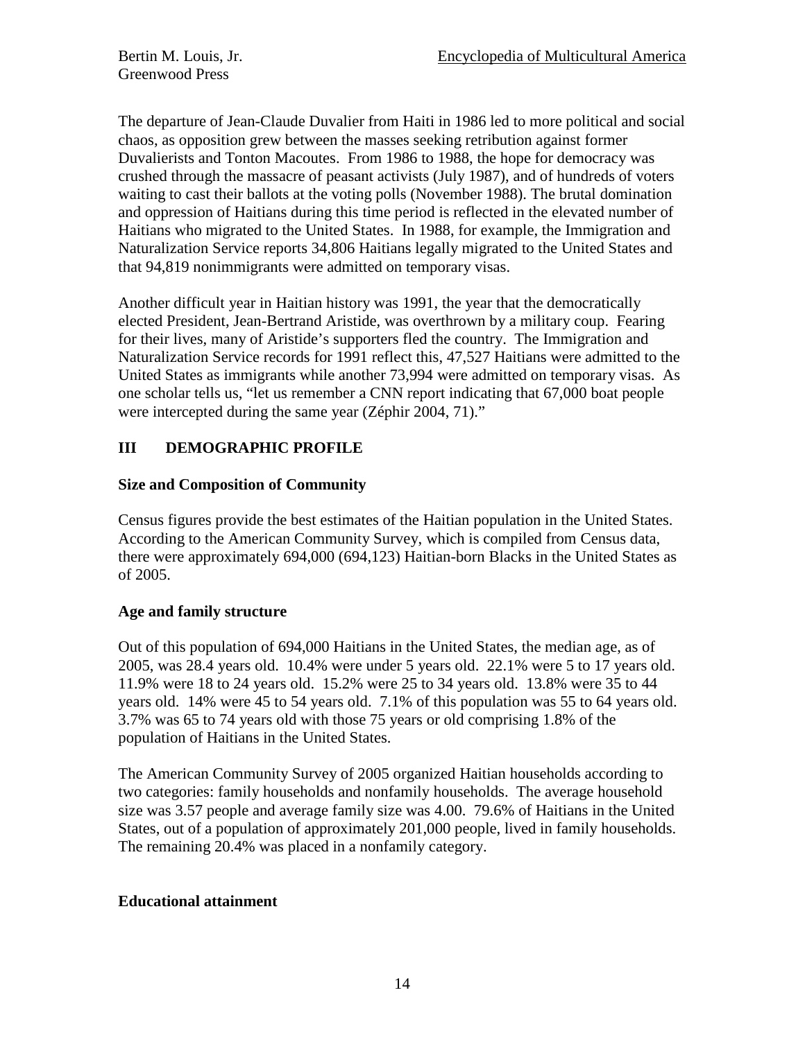The departure of Jean-Claude Duvalier from Haiti in 1986 led to more political and social chaos, as opposition grew between the masses seeking retribution against former Duvalierists and Tonton Macoutes. From 1986 to 1988, the hope for democracy was crushed through the massacre of peasant activists (July 1987), and of hundreds of voters waiting to cast their ballots at the voting polls (November 1988). The brutal domination and oppression of Haitians during this time period is reflected in the elevated number of Haitians who migrated to the United States. In 1988, for example, the Immigration and Naturalization Service reports 34,806 Haitians legally migrated to the United States and that 94,819 nonimmigrants were admitted on temporary visas.

Another difficult year in Haitian history was 1991, the year that the democratically elected President, Jean-Bertrand Aristide, was overthrown by a military coup. Fearing for their lives, many of Aristide's supporters fled the country. The Immigration and Naturalization Service records for 1991 reflect this, 47,527 Haitians were admitted to the United States as immigrants while another 73,994 were admitted on temporary visas. As one scholar tells us, "let us remember a CNN report indicating that 67,000 boat people were intercepted during the same year (Zéphir 2004, 71)."

# **III DEMOGRAPHIC PROFILE**

# **Size and Composition of Community**

Census figures provide the best estimates of the Haitian population in the United States. According to the American Community Survey, which is compiled from Census data, there were approximately 694,000 (694,123) Haitian-born Blacks in the United States as of 2005.

# **Age and family structure**

Out of this population of 694,000 Haitians in the United States, the median age, as of 2005, was 28.4 years old. 10.4% were under 5 years old. 22.1% were 5 to 17 years old. 11.9% were 18 to 24 years old. 15.2% were 25 to 34 years old. 13.8% were 35 to 44 years old. 14% were 45 to 54 years old. 7.1% of this population was 55 to 64 years old. 3.7% was 65 to 74 years old with those 75 years or old comprising 1.8% of the population of Haitians in the United States.

The American Community Survey of 2005 organized Haitian households according to two categories: family households and nonfamily households. The average household size was 3.57 people and average family size was 4.00. 79.6% of Haitians in the United States, out of a population of approximately 201,000 people, lived in family households. The remaining 20.4% was placed in a nonfamily category.

# **Educational attainment**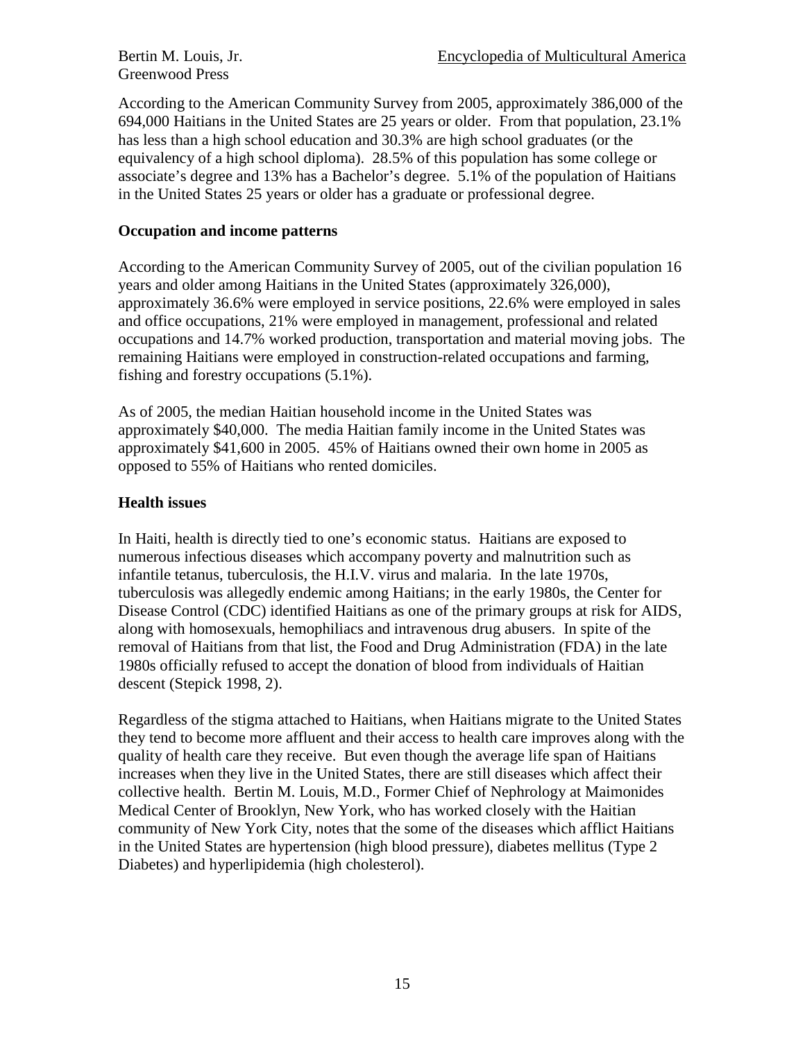According to the American Community Survey from 2005, approximately 386,000 of the 694,000 Haitians in the United States are 25 years or older. From that population, 23.1% has less than a high school education and 30.3% are high school graduates (or the equivalency of a high school diploma). 28.5% of this population has some college or associate's degree and 13% has a Bachelor's degree. 5.1% of the population of Haitians in the United States 25 years or older has a graduate or professional degree.

## **Occupation and income patterns**

According to the American Community Survey of 2005, out of the civilian population 16 years and older among Haitians in the United States (approximately 326,000), approximately 36.6% were employed in service positions, 22.6% were employed in sales and office occupations, 21% were employed in management, professional and related occupations and 14.7% worked production, transportation and material moving jobs. The remaining Haitians were employed in construction-related occupations and farming, fishing and forestry occupations (5.1%).

As of 2005, the median Haitian household income in the United States was approximately \$40,000. The media Haitian family income in the United States was approximately \$41,600 in 2005. 45% of Haitians owned their own home in 2005 as opposed to 55% of Haitians who rented domiciles.

## **Health issues**

In Haiti, health is directly tied to one's economic status. Haitians are exposed to numerous infectious diseases which accompany poverty and malnutrition such as infantile tetanus, tuberculosis, the H.I.V. virus and malaria. In the late 1970s, tuberculosis was allegedly endemic among Haitians; in the early 1980s, the Center for Disease Control (CDC) identified Haitians as one of the primary groups at risk for AIDS, along with homosexuals, hemophiliacs and intravenous drug abusers. In spite of the removal of Haitians from that list, the Food and Drug Administration (FDA) in the late 1980s officially refused to accept the donation of blood from individuals of Haitian descent (Stepick 1998, 2).

Regardless of the stigma attached to Haitians, when Haitians migrate to the United States they tend to become more affluent and their access to health care improves along with the quality of health care they receive. But even though the average life span of Haitians increases when they live in the United States, there are still diseases which affect their collective health. Bertin M. Louis, M.D., Former Chief of Nephrology at Maimonides Medical Center of Brooklyn, New York, who has worked closely with the Haitian community of New York City, notes that the some of the diseases which afflict Haitians in the United States are hypertension (high blood pressure), diabetes mellitus (Type 2 Diabetes) and hyperlipidemia (high cholesterol).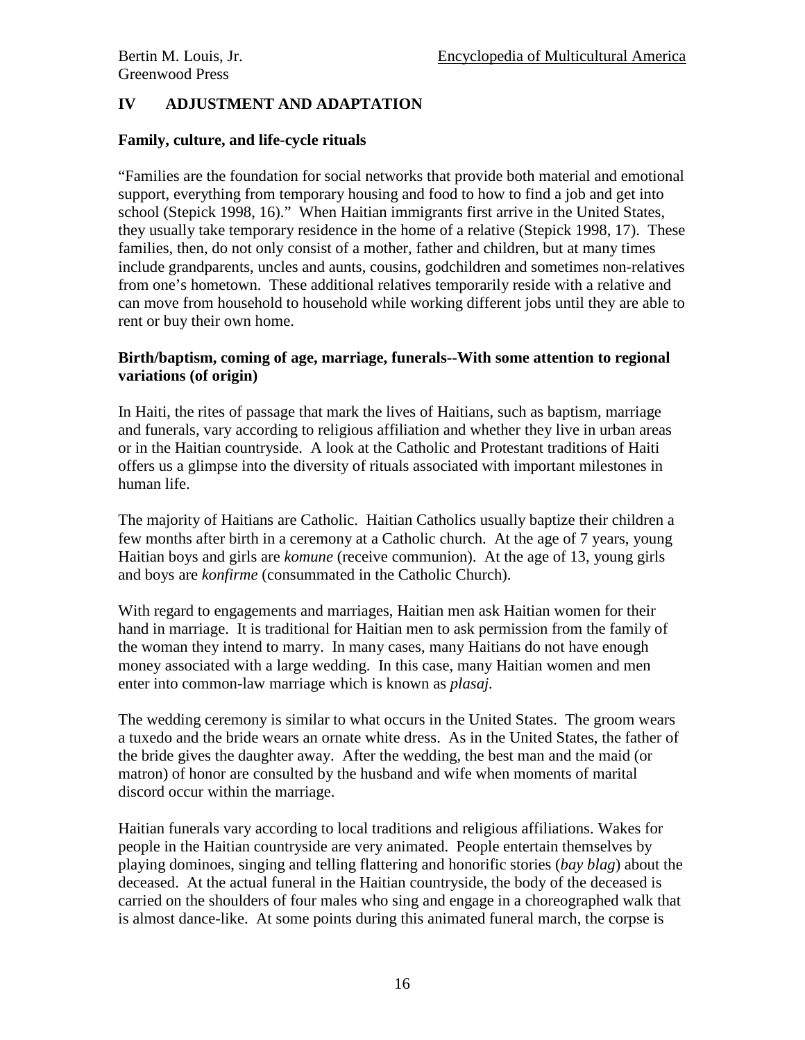# **IV ADJUSTMENT AND ADAPTATION**

# **Family, culture, and life-cycle rituals**

"Families are the foundation for social networks that provide both material and emotional support, everything from temporary housing and food to how to find a job and get into school (Stepick 1998, 16)." When Haitian immigrants first arrive in the United States, they usually take temporary residence in the home of a relative (Stepick 1998, 17). These families, then, do not only consist of a mother, father and children, but at many times include grandparents, uncles and aunts, cousins, godchildren and sometimes non-relatives from one's hometown. These additional relatives temporarily reside with a relative and can move from household to household while working different jobs until they are able to rent or buy their own home.

## **Birth/baptism, coming of age, marriage, funerals--With some attention to regional variations (of origin)**

In Haiti, the rites of passage that mark the lives of Haitians, such as baptism, marriage and funerals, vary according to religious affiliation and whether they live in urban areas or in the Haitian countryside. A look at the Catholic and Protestant traditions of Haiti offers us a glimpse into the diversity of rituals associated with important milestones in human life.

The majority of Haitians are Catholic. Haitian Catholics usually baptize their children a few months after birth in a ceremony at a Catholic church. At the age of 7 years, young Haitian boys and girls are *komune* (receive communion). At the age of 13, young girls and boys are *konfirme* (consummated in the Catholic Church).

With regard to engagements and marriages, Haitian men ask Haitian women for their hand in marriage. It is traditional for Haitian men to ask permission from the family of the woman they intend to marry. In many cases, many Haitians do not have enough money associated with a large wedding. In this case, many Haitian women and men enter into common-law marriage which is known as *plasaj.* 

The wedding ceremony is similar to what occurs in the United States. The groom wears a tuxedo and the bride wears an ornate white dress. As in the United States, the father of the bride gives the daughter away. After the wedding, the best man and the maid (or matron) of honor are consulted by the husband and wife when moments of marital discord occur within the marriage.

Haitian funerals vary according to local traditions and religious affiliations. Wakes for people in the Haitian countryside are very animated. People entertain themselves by playing dominoes, singing and telling flattering and honorific stories (*bay blag*) about the deceased. At the actual funeral in the Haitian countryside, the body of the deceased is carried on the shoulders of four males who sing and engage in a choreographed walk that is almost dance-like. At some points during this animated funeral march, the corpse is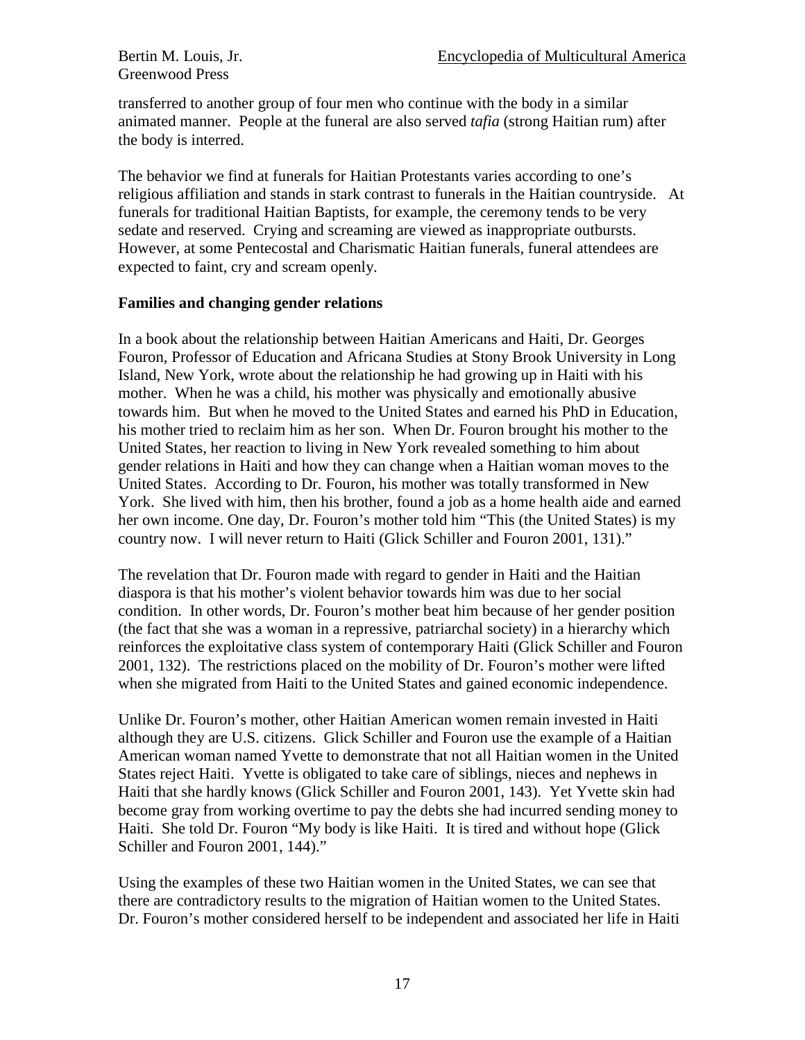transferred to another group of four men who continue with the body in a similar animated manner. People at the funeral are also served *tafia* (strong Haitian rum) after the body is interred.

The behavior we find at funerals for Haitian Protestants varies according to one's religious affiliation and stands in stark contrast to funerals in the Haitian countryside. At funerals for traditional Haitian Baptists, for example, the ceremony tends to be very sedate and reserved. Crying and screaming are viewed as inappropriate outbursts. However, at some Pentecostal and Charismatic Haitian funerals, funeral attendees are expected to faint, cry and scream openly.

# **Families and changing gender relations**

In a book about the relationship between Haitian Americans and Haiti, Dr. Georges Fouron, Professor of Education and Africana Studies at Stony Brook University in Long Island, New York, wrote about the relationship he had growing up in Haiti with his mother. When he was a child, his mother was physically and emotionally abusive towards him. But when he moved to the United States and earned his PhD in Education, his mother tried to reclaim him as her son. When Dr. Fouron brought his mother to the United States, her reaction to living in New York revealed something to him about gender relations in Haiti and how they can change when a Haitian woman moves to the United States. According to Dr. Fouron, his mother was totally transformed in New York. She lived with him, then his brother, found a job as a home health aide and earned her own income. One day, Dr. Fouron's mother told him "This (the United States) is my country now. I will never return to Haiti (Glick Schiller and Fouron 2001, 131)."

The revelation that Dr. Fouron made with regard to gender in Haiti and the Haitian diaspora is that his mother's violent behavior towards him was due to her social condition. In other words, Dr. Fouron's mother beat him because of her gender position (the fact that she was a woman in a repressive, patriarchal society) in a hierarchy which reinforces the exploitative class system of contemporary Haiti (Glick Schiller and Fouron 2001, 132). The restrictions placed on the mobility of Dr. Fouron's mother were lifted when she migrated from Haiti to the United States and gained economic independence.

Unlike Dr. Fouron's mother, other Haitian American women remain invested in Haiti although they are U.S. citizens. Glick Schiller and Fouron use the example of a Haitian American woman named Yvette to demonstrate that not all Haitian women in the United States reject Haiti. Yvette is obligated to take care of siblings, nieces and nephews in Haiti that she hardly knows (Glick Schiller and Fouron 2001, 143). Yet Yvette skin had become gray from working overtime to pay the debts she had incurred sending money to Haiti. She told Dr. Fouron "My body is like Haiti. It is tired and without hope (Glick Schiller and Fouron 2001, 144)."

Using the examples of these two Haitian women in the United States, we can see that there are contradictory results to the migration of Haitian women to the United States. Dr. Fouron's mother considered herself to be independent and associated her life in Haiti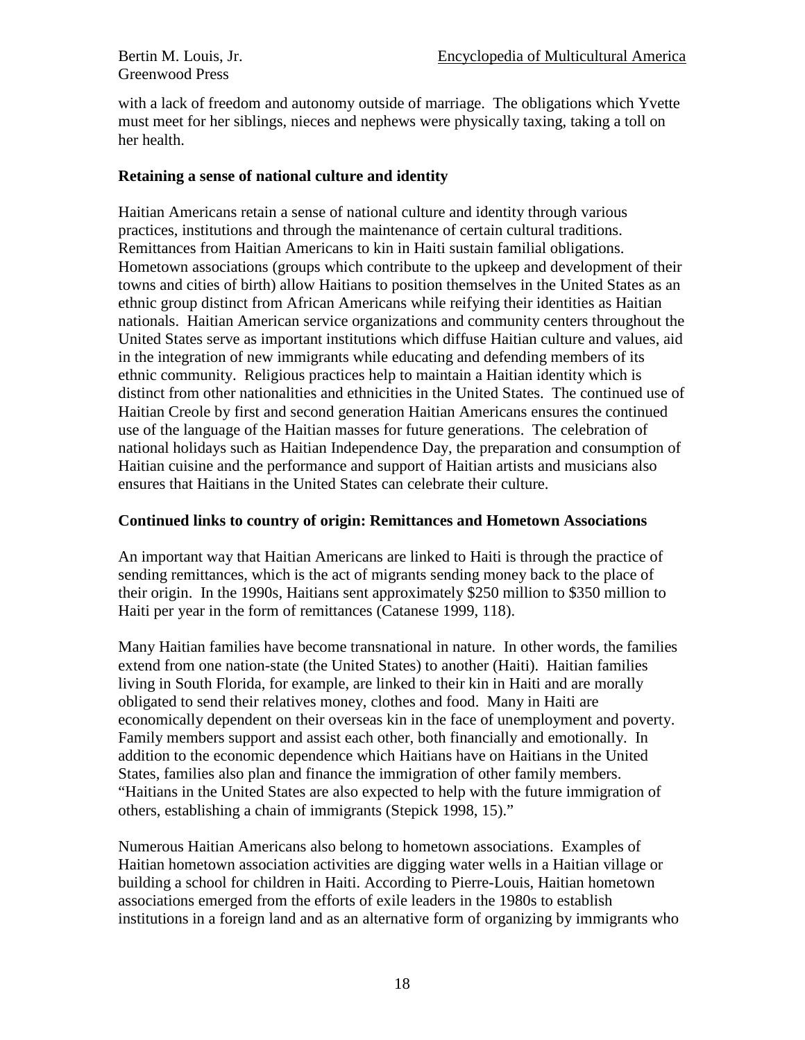with a lack of freedom and autonomy outside of marriage. The obligations which Yvette must meet for her siblings, nieces and nephews were physically taxing, taking a toll on her health.

### **Retaining a sense of national culture and identity**

Haitian Americans retain a sense of national culture and identity through various practices, institutions and through the maintenance of certain cultural traditions. Remittances from Haitian Americans to kin in Haiti sustain familial obligations. Hometown associations (groups which contribute to the upkeep and development of their towns and cities of birth) allow Haitians to position themselves in the United States as an ethnic group distinct from African Americans while reifying their identities as Haitian nationals. Haitian American service organizations and community centers throughout the United States serve as important institutions which diffuse Haitian culture and values, aid in the integration of new immigrants while educating and defending members of its ethnic community. Religious practices help to maintain a Haitian identity which is distinct from other nationalities and ethnicities in the United States. The continued use of Haitian Creole by first and second generation Haitian Americans ensures the continued use of the language of the Haitian masses for future generations. The celebration of national holidays such as Haitian Independence Day, the preparation and consumption of Haitian cuisine and the performance and support of Haitian artists and musicians also ensures that Haitians in the United States can celebrate their culture.

#### **Continued links to country of origin: Remittances and Hometown Associations**

An important way that Haitian Americans are linked to Haiti is through the practice of sending remittances, which is the act of migrants sending money back to the place of their origin. In the 1990s, Haitians sent approximately \$250 million to \$350 million to Haiti per year in the form of remittances (Catanese 1999, 118).

Many Haitian families have become transnational in nature. In other words, the families extend from one nation-state (the United States) to another (Haiti). Haitian families living in South Florida, for example, are linked to their kin in Haiti and are morally obligated to send their relatives money, clothes and food. Many in Haiti are economically dependent on their overseas kin in the face of unemployment and poverty. Family members support and assist each other, both financially and emotionally. In addition to the economic dependence which Haitians have on Haitians in the United States, families also plan and finance the immigration of other family members. "Haitians in the United States are also expected to help with the future immigration of others, establishing a chain of immigrants (Stepick 1998, 15)."

Numerous Haitian Americans also belong to hometown associations. Examples of Haitian hometown association activities are digging water wells in a Haitian village or building a school for children in Haiti. According to Pierre-Louis, Haitian hometown associations emerged from the efforts of exile leaders in the 1980s to establish institutions in a foreign land and as an alternative form of organizing by immigrants who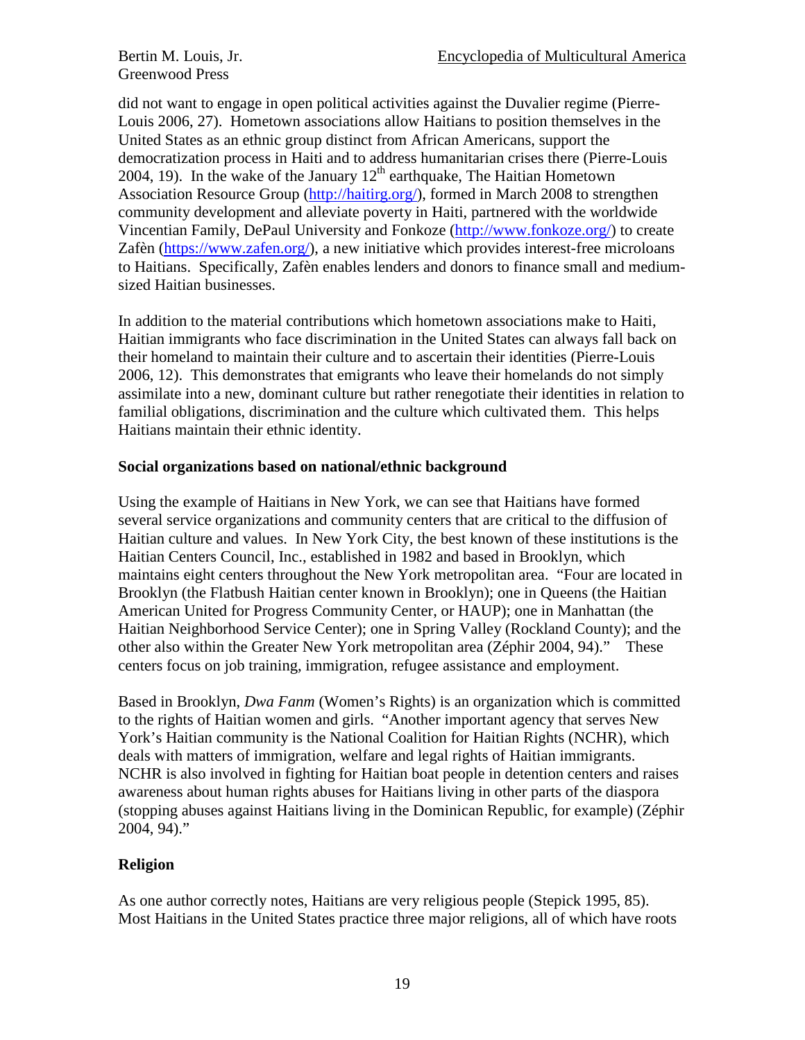did not want to engage in open political activities against the Duvalier regime (Pierre-Louis 2006, 27). Hometown associations allow Haitians to position themselves in the United States as an ethnic group distinct from African Americans, support the democratization process in Haiti and to address humanitarian crises there (Pierre-Louis 2004, 19). In the wake of the January  $12<sup>th</sup>$  earthquake, The Haitian Hometown Association Resource Group [\(http://haitirg.org/\)](http://haitirg.org/), formed in March 2008 to strengthen community development and alleviate poverty in Haiti, partnered with the worldwide Vincentian Family, DePaul University and Fonkoze [\(http://www.fonkoze.org/\)](http://www.fonkoze.org/) to create Zafèn [\(https://www.zafen.org/\)](https://www.zafen.org/), a new initiative which provides interest-free microloans to Haitians. Specifically, Zafèn enables lenders and donors to finance small and mediumsized Haitian businesses.

In addition to the material contributions which hometown associations make to Haiti, Haitian immigrants who face discrimination in the United States can always fall back on their homeland to maintain their culture and to ascertain their identities (Pierre-Louis 2006, 12). This demonstrates that emigrants who leave their homelands do not simply assimilate into a new, dominant culture but rather renegotiate their identities in relation to familial obligations, discrimination and the culture which cultivated them. This helps Haitians maintain their ethnic identity.

## **Social organizations based on national/ethnic background**

Using the example of Haitians in New York, we can see that Haitians have formed several service organizations and community centers that are critical to the diffusion of Haitian culture and values. In New York City, the best known of these institutions is the Haitian Centers Council, Inc., established in 1982 and based in Brooklyn, which maintains eight centers throughout the New York metropolitan area. "Four are located in Brooklyn (the Flatbush Haitian center known in Brooklyn); one in Queens (the Haitian American United for Progress Community Center, or HAUP); one in Manhattan (the Haitian Neighborhood Service Center); one in Spring Valley (Rockland County); and the other also within the Greater New York metropolitan area (Zéphir 2004, 94)." These centers focus on job training, immigration, refugee assistance and employment.

Based in Brooklyn, *Dwa Fanm* (Women's Rights) is an organization which is committed to the rights of Haitian women and girls. "Another important agency that serves New York's Haitian community is the National Coalition for Haitian Rights (NCHR), which deals with matters of immigration, welfare and legal rights of Haitian immigrants. NCHR is also involved in fighting for Haitian boat people in detention centers and raises awareness about human rights abuses for Haitians living in other parts of the diaspora (stopping abuses against Haitians living in the Dominican Republic, for example) (Zéphir 2004, 94)."

## **Religion**

As one author correctly notes, Haitians are very religious people (Stepick 1995, 85). Most Haitians in the United States practice three major religions, all of which have roots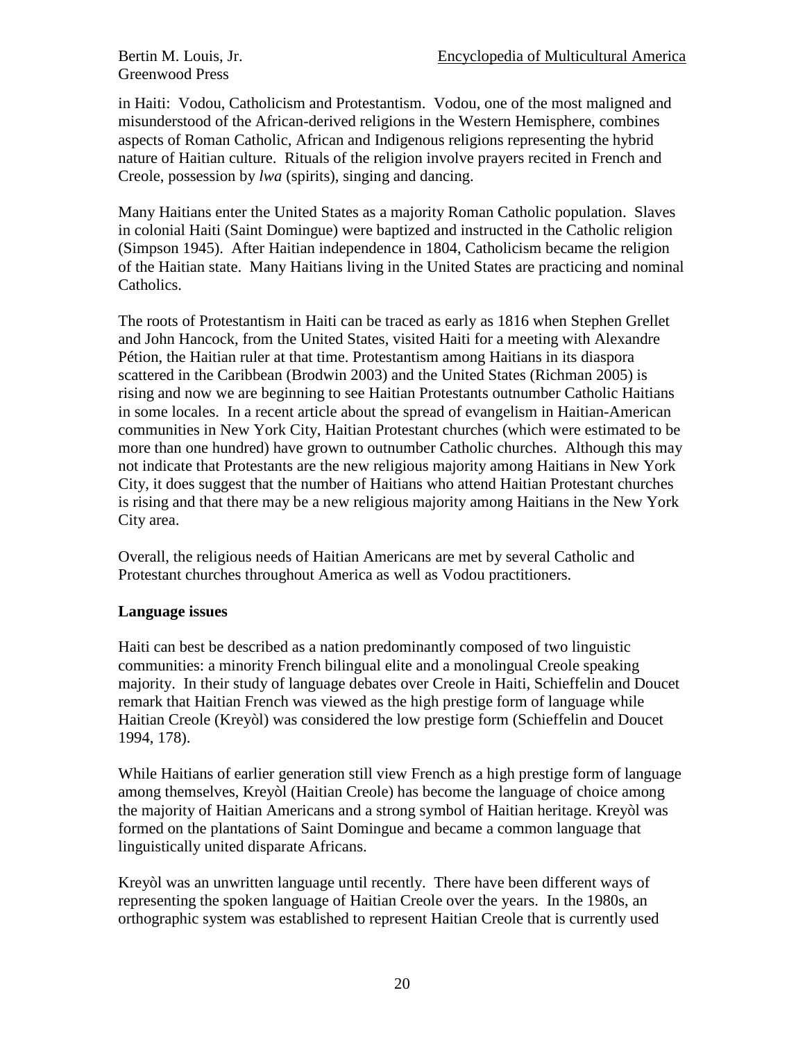in Haiti: Vodou, Catholicism and Protestantism. Vodou, one of the most maligned and misunderstood of the African-derived religions in the Western Hemisphere, combines aspects of Roman Catholic, African and Indigenous religions representing the hybrid nature of Haitian culture. Rituals of the religion involve prayers recited in French and Creole, possession by *lwa* (spirits), singing and dancing.

Many Haitians enter the United States as a majority Roman Catholic population. Slaves in colonial Haiti (Saint Domingue) were baptized and instructed in the Catholic religion (Simpson 1945). After Haitian independence in 1804, Catholicism became the religion of the Haitian state. Many Haitians living in the United States are practicing and nominal Catholics.

The roots of Protestantism in Haiti can be traced as early as 1816 when Stephen Grellet and John Hancock, from the United States, visited Haiti for a meeting with Alexandre Pétion, the Haitian ruler at that time. Protestantism among Haitians in its diaspora scattered in the Caribbean (Brodwin 2003) and the United States (Richman 2005) is rising and now we are beginning to see Haitian Protestants outnumber Catholic Haitians in some locales. In a recent article about the spread of evangelism in Haitian-American communities in New York City, Haitian Protestant churches (which were estimated to be more than one hundred) have grown to outnumber Catholic churches. Although this may not indicate that Protestants are the new religious majority among Haitians in New York City, it does suggest that the number of Haitians who attend Haitian Protestant churches is rising and that there may be a new religious majority among Haitians in the New York City area.

Overall, the religious needs of Haitian Americans are met by several Catholic and Protestant churches throughout America as well as Vodou practitioners.

# **Language issues**

Haiti can best be described as a nation predominantly composed of two linguistic communities: a minority French bilingual elite and a monolingual Creole speaking majority. In their study of language debates over Creole in Haiti, Schieffelin and Doucet remark that Haitian French was viewed as the high prestige form of language while Haitian Creole (Kreyòl) was considered the low prestige form (Schieffelin and Doucet 1994, 178).

While Haitians of earlier generation still view French as a high prestige form of language among themselves, Kreyòl (Haitian Creole) has become the language of choice among the majority of Haitian Americans and a strong symbol of Haitian heritage. Kreyòl was formed on the plantations of Saint Domingue and became a common language that linguistically united disparate Africans.

Kreyòl was an unwritten language until recently. There have been different ways of representing the spoken language of Haitian Creole over the years. In the 1980s, an orthographic system was established to represent Haitian Creole that is currently used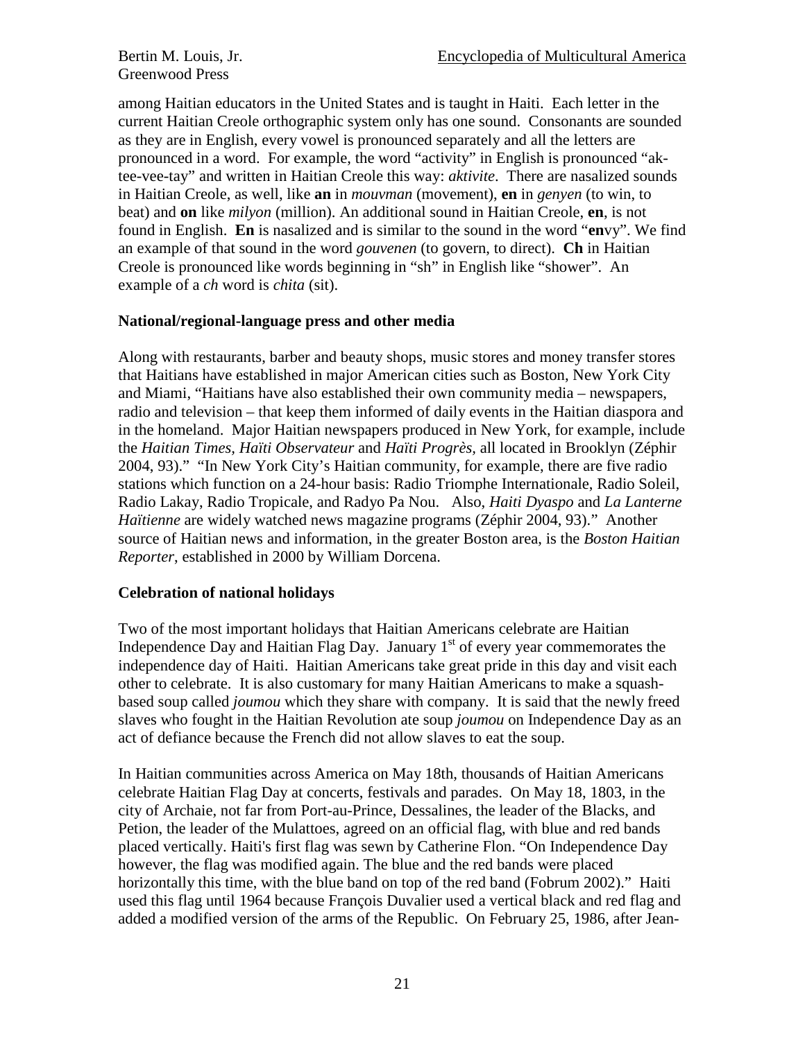among Haitian educators in the United States and is taught in Haiti. Each letter in the current Haitian Creole orthographic system only has one sound. Consonants are sounded as they are in English, every vowel is pronounced separately and all the letters are pronounced in a word. For example, the word "activity" in English is pronounced "aktee-vee-tay" and written in Haitian Creole this way: *aktivite*. There are nasalized sounds in Haitian Creole, as well, like **an** in *mouvman* (movement), **en** in *genyen* (to win, to beat) and **on** like *milyon* (million). An additional sound in Haitian Creole, **en**, is not found in English. **En** is nasalized and is similar to the sound in the word "**en**vy". We find an example of that sound in the word *gouvenen* (to govern, to direct). **Ch** in Haitian Creole is pronounced like words beginning in "sh" in English like "shower". An example of a *ch* word is *chita* (sit).

#### **National/regional-language press and other media**

Along with restaurants, barber and beauty shops, music stores and money transfer stores that Haitians have established in major American cities such as Boston, New York City and Miami, "Haitians have also established their own community media – newspapers, radio and television – that keep them informed of daily events in the Haitian diaspora and in the homeland. Major Haitian newspapers produced in New York, for example, include the *Haitian Times, Haïti Observateur* and *Haïti Progrès,* all located in Brooklyn (Zéphir 2004, 93)." "In New York City's Haitian community, for example, there are five radio stations which function on a 24-hour basis: Radio Triomphe Internationale, Radio Soleil, Radio Lakay, Radio Tropicale, and Radyo Pa Nou. Also, *Haiti Dyaspo* and *La Lanterne Haïtienne* are widely watched news magazine programs (Zéphir 2004, 93)." Another source of Haitian news and information, in the greater Boston area, is the *Boston Haitian Reporter*, established in 2000 by William Dorcena.

#### **Celebration of national holidays**

Two of the most important holidays that Haitian Americans celebrate are Haitian Independence Day and Haitian Flag Day. January  $1<sup>st</sup>$  of every year commemorates the independence day of Haiti. Haitian Americans take great pride in this day and visit each other to celebrate. It is also customary for many Haitian Americans to make a squashbased soup called *joumou* which they share with company. It is said that the newly freed slaves who fought in the Haitian Revolution ate soup *joumou* on Independence Day as an act of defiance because the French did not allow slaves to eat the soup.

In Haitian communities across America on May 18th, thousands of Haitian Americans celebrate Haitian Flag Day at concerts, festivals and parades. On May 18, 1803, in the city of Archaie, not far from Port-au-Prince, Dessalines, the leader of the Blacks, and Petion, the leader of the Mulattoes, agreed on an official flag, with blue and red bands placed vertically. Haiti's first flag was sewn by Catherine Flon. "On Independence Day however, the flag was modified again. The blue and the red bands were placed horizontally this time, with the blue band on top of the red band (Fobrum 2002)." Haiti used this flag until 1964 because François Duvalier used a vertical black and red flag and added a modified version of the arms of the Republic. On February 25, 1986, after Jean-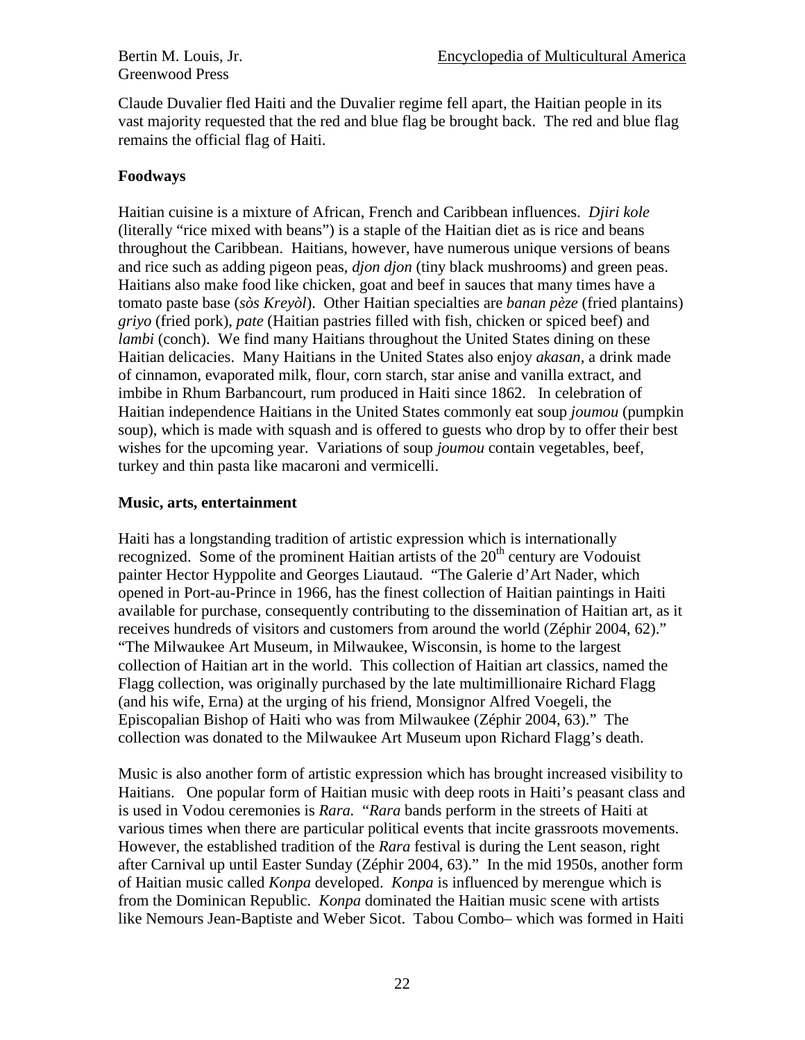Claude Duvalier fled Haiti and the Duvalier regime fell apart, the Haitian people in its vast majority requested that the red and blue flag be brought back. The red and blue flag remains the official flag of Haiti.

# **Foodways**

Haitian cuisine is a mixture of African, French and Caribbean influences. *Djiri kole*  (literally "rice mixed with beans") is a staple of the Haitian diet as is rice and beans throughout the Caribbean. Haitians, however, have numerous unique versions of beans and rice such as adding pigeon peas, *djon djon* (tiny black mushrooms) and green peas. Haitians also make food like chicken, goat and beef in sauces that many times have a tomato paste base (*sòs Kreyòl*). Other Haitian specialties are *banan pèze* (fried plantains) *griyo* (fried pork), *pate* (Haitian pastries filled with fish, chicken or spiced beef) and *lambi* (conch). We find many Haitians throughout the United States dining on these Haitian delicacies. Many Haitians in the United States also enjoy *akasan,* a drink made of cinnamon, evaporated milk, flour, corn starch, star anise and vanilla extract, and imbibe in Rhum Barbancourt, rum produced in Haiti since 1862. In celebration of Haitian independence Haitians in the United States commonly eat soup *joumou* (pumpkin soup), which is made with squash and is offered to guests who drop by to offer their best wishes for the upcoming year. Variations of soup *joumou* contain vegetables, beef, turkey and thin pasta like macaroni and vermicelli.

## **Music, arts, entertainment**

Haiti has a longstanding tradition of artistic expression which is internationally recognized. Some of the prominent Haitian artists of the  $20<sup>th</sup>$  century are Vodouist painter Hector Hyppolite and Georges Liautaud. "The Galerie d'Art Nader, which opened in Port-au-Prince in 1966, has the finest collection of Haitian paintings in Haiti available for purchase, consequently contributing to the dissemination of Haitian art, as it receives hundreds of visitors and customers from around the world (Zéphir 2004, 62)." "The Milwaukee Art Museum, in Milwaukee, Wisconsin, is home to the largest collection of Haitian art in the world. This collection of Haitian art classics, named the Flagg collection, was originally purchased by the late multimillionaire Richard Flagg (and his wife, Erna) at the urging of his friend, Monsignor Alfred Voegeli, the Episcopalian Bishop of Haiti who was from Milwaukee (Zéphir 2004, 63)." The collection was donated to the Milwaukee Art Museum upon Richard Flagg's death.

Music is also another form of artistic expression which has brought increased visibility to Haitians. One popular form of Haitian music with deep roots in Haiti's peasant class and is used in Vodou ceremonies is *Rara.* "*Rara* bands perform in the streets of Haiti at various times when there are particular political events that incite grassroots movements. However, the established tradition of the *Rara* festival is during the Lent season, right after Carnival up until Easter Sunday (Zéphir 2004, 63)." In the mid 1950s, another form of Haitian music called *Konpa* developed. *Konpa* is influenced by merengue which is from the Dominican Republic. *Konpa* dominated the Haitian music scene with artists like Nemours Jean-Baptiste and Weber Sicot. Tabou Combo– which was formed in Haiti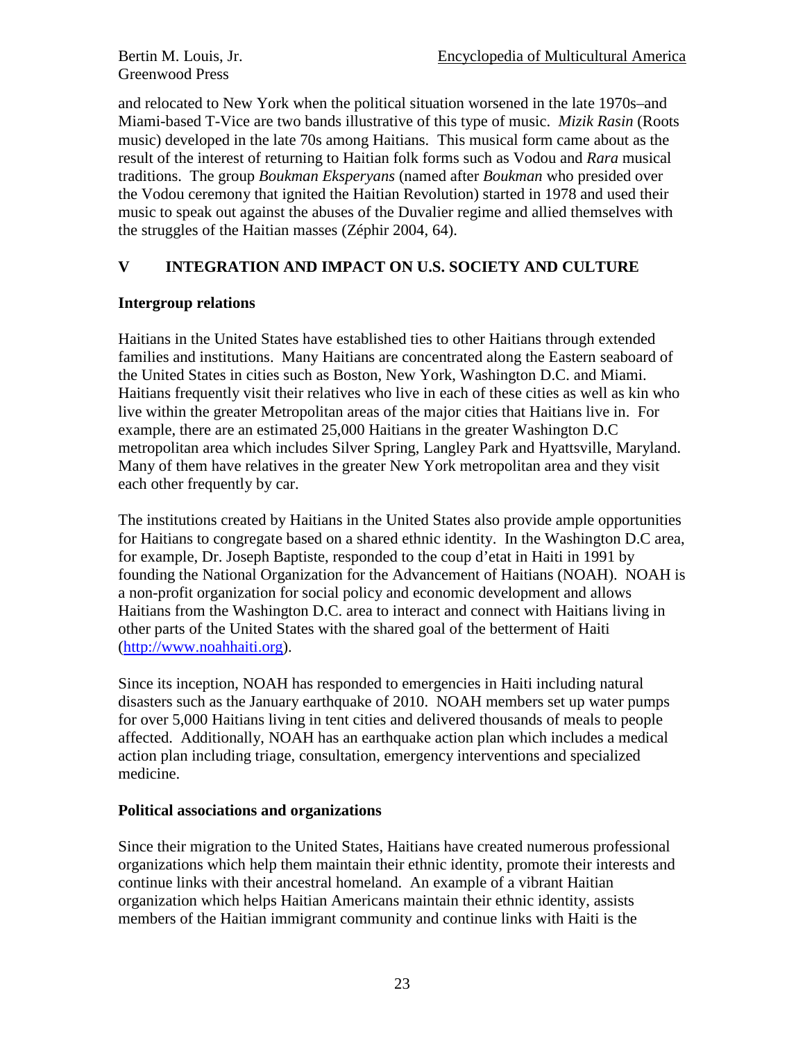and relocated to New York when the political situation worsened in the late 1970s–and Miami-based T-Vice are two bands illustrative of this type of music. *Mizik Rasin* (Roots music) developed in the late 70s among Haitians. This musical form came about as the result of the interest of returning to Haitian folk forms such as Vodou and *Rara* musical traditions. The group *Boukman Eksperyans* (named after *Boukman* who presided over the Vodou ceremony that ignited the Haitian Revolution) started in 1978 and used their music to speak out against the abuses of the Duvalier regime and allied themselves with the struggles of the Haitian masses (Zéphir 2004, 64).

# **V INTEGRATION AND IMPACT ON U.S. SOCIETY AND CULTURE**

#### **Intergroup relations**

Haitians in the United States have established ties to other Haitians through extended families and institutions. Many Haitians are concentrated along the Eastern seaboard of the United States in cities such as Boston, New York, Washington D.C. and Miami. Haitians frequently visit their relatives who live in each of these cities as well as kin who live within the greater Metropolitan areas of the major cities that Haitians live in. For example, there are an estimated 25,000 Haitians in the greater Washington D.C metropolitan area which includes Silver Spring, Langley Park and Hyattsville, Maryland. Many of them have relatives in the greater New York metropolitan area and they visit each other frequently by car.

The institutions created by Haitians in the United States also provide ample opportunities for Haitians to congregate based on a shared ethnic identity. In the Washington D.C area, for example, Dr. Joseph Baptiste, responded to the coup d'etat in Haiti in 1991 by founding the National Organization for the Advancement of Haitians (NOAH). NOAH is a non-profit organization for social policy and economic development and allows Haitians from the Washington D.C. area to interact and connect with Haitians living in other parts of the United States with the shared goal of the betterment of Haiti [\(http://www.noahhaiti.org\)](http://www.noahhaiti.org/).

Since its inception, NOAH has responded to emergencies in Haiti including natural disasters such as the January earthquake of 2010. NOAH members set up water pumps for over 5,000 Haitians living in tent cities and delivered thousands of meals to people affected. Additionally, NOAH has an earthquake action plan which includes a medical action plan including triage, consultation, emergency interventions and specialized medicine.

#### **Political associations and organizations**

Since their migration to the United States, Haitians have created numerous professional organizations which help them maintain their ethnic identity, promote their interests and continue links with their ancestral homeland. An example of a vibrant Haitian organization which helps Haitian Americans maintain their ethnic identity, assists members of the Haitian immigrant community and continue links with Haiti is the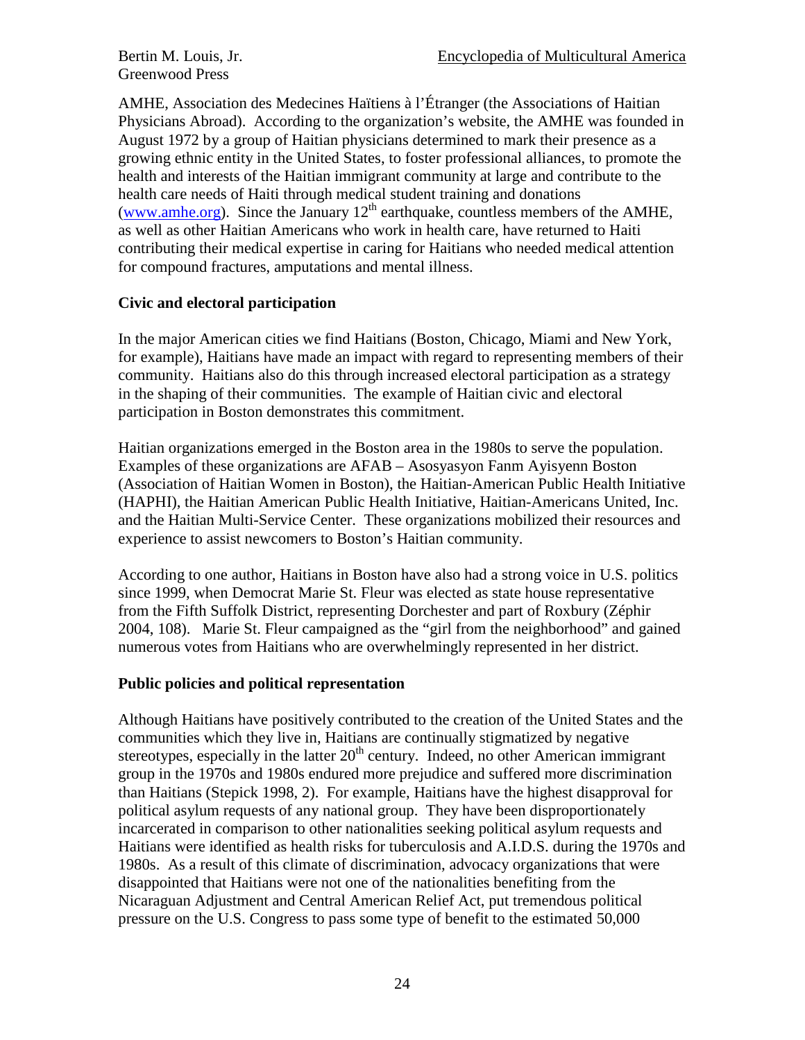AMHE, Association des Medecines Haïtiens à l'Étranger (the Associations of Haitian Physicians Abroad). According to the organization's website, the AMHE was founded in August 1972 by a group of Haitian physicians determined to mark their presence as a growing ethnic entity in the United States, to foster professional alliances, to promote the health and interests of the Haitian immigrant community at large and contribute to the health care needs of Haiti through medical student training and donations [\(www.amhe.org\)](http://www.amhe.org/). Since the January  $12<sup>th</sup>$  earthquake, countless members of the AMHE, as well as other Haitian Americans who work in health care, have returned to Haiti contributing their medical expertise in caring for Haitians who needed medical attention for compound fractures, amputations and mental illness.

## **Civic and electoral participation**

In the major American cities we find Haitians (Boston, Chicago, Miami and New York, for example), Haitians have made an impact with regard to representing members of their community. Haitians also do this through increased electoral participation as a strategy in the shaping of their communities. The example of Haitian civic and electoral participation in Boston demonstrates this commitment.

Haitian organizations emerged in the Boston area in the 1980s to serve the population. Examples of these organizations are AFAB – Asosyasyon Fanm Ayisyenn Boston (Association of Haitian Women in Boston), the Haitian-American Public Health Initiative (HAPHI), the Haitian American Public Health Initiative, Haitian-Americans United, Inc. and the Haitian Multi-Service Center. These organizations mobilized their resources and experience to assist newcomers to Boston's Haitian community.

According to one author, Haitians in Boston have also had a strong voice in U.S. politics since 1999, when Democrat Marie St. Fleur was elected as state house representative from the Fifth Suffolk District, representing Dorchester and part of Roxbury (Zéphir 2004, 108). Marie St. Fleur campaigned as the "girl from the neighborhood" and gained numerous votes from Haitians who are overwhelmingly represented in her district.

## **Public policies and political representation**

Although Haitians have positively contributed to the creation of the United States and the communities which they live in, Haitians are continually stigmatized by negative stereotypes, especially in the latter  $20<sup>th</sup>$  century. Indeed, no other American immigrant group in the 1970s and 1980s endured more prejudice and suffered more discrimination than Haitians (Stepick 1998, 2). For example, Haitians have the highest disapproval for political asylum requests of any national group. They have been disproportionately incarcerated in comparison to other nationalities seeking political asylum requests and Haitians were identified as health risks for tuberculosis and A.I.D.S. during the 1970s and 1980s. As a result of this climate of discrimination, advocacy organizations that were disappointed that Haitians were not one of the nationalities benefiting from the Nicaraguan Adjustment and Central American Relief Act, put tremendous political pressure on the U.S. Congress to pass some type of benefit to the estimated 50,000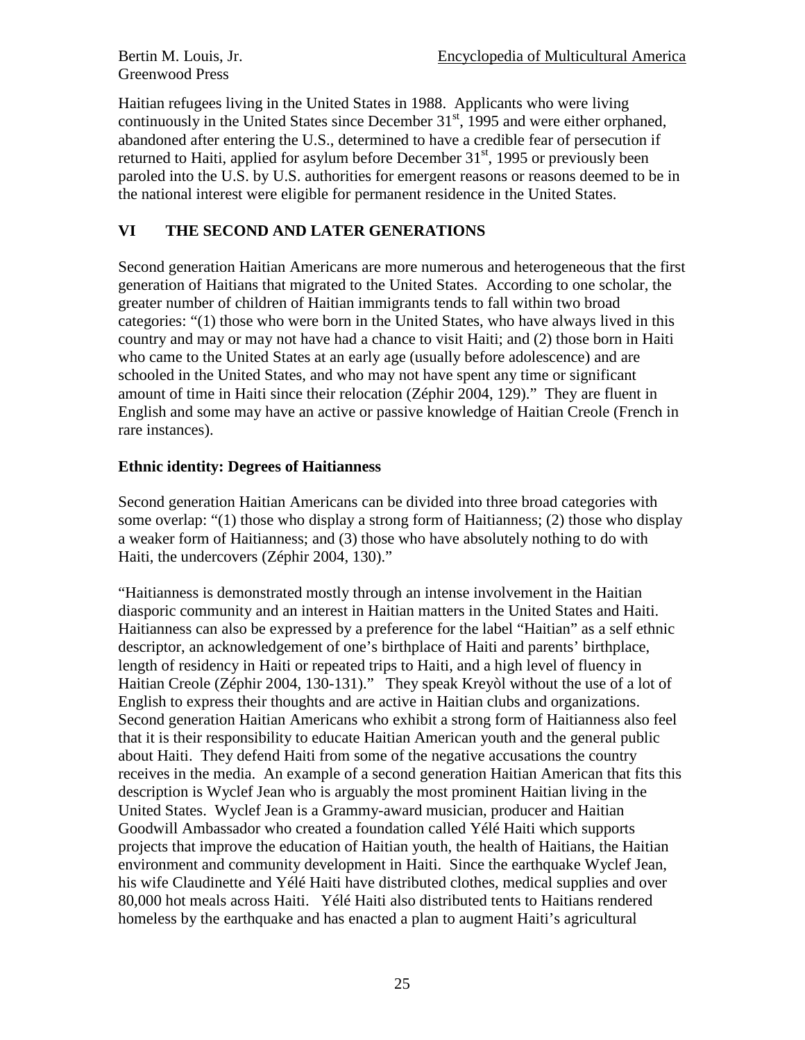Haitian refugees living in the United States in 1988. Applicants who were living continuously in the United States since December  $31<sup>st</sup>$ , 1995 and were either orphaned, abandoned after entering the U.S., determined to have a credible fear of persecution if returned to Haiti, applied for asylum before December  $31<sup>st</sup>$ , 1995 or previously been paroled into the U.S. by U.S. authorities for emergent reasons or reasons deemed to be in the national interest were eligible for permanent residence in the United States.

# **VI THE SECOND AND LATER GENERATIONS**

Second generation Haitian Americans are more numerous and heterogeneous that the first generation of Haitians that migrated to the United States. According to one scholar, the greater number of children of Haitian immigrants tends to fall within two broad categories: "(1) those who were born in the United States, who have always lived in this country and may or may not have had a chance to visit Haiti; and (2) those born in Haiti who came to the United States at an early age (usually before adolescence) and are schooled in the United States, and who may not have spent any time or significant amount of time in Haiti since their relocation (Zéphir 2004, 129)." They are fluent in English and some may have an active or passive knowledge of Haitian Creole (French in rare instances).

# **Ethnic identity: Degrees of Haitianness**

Second generation Haitian Americans can be divided into three broad categories with some overlap: "(1) those who display a strong form of Haitianness; (2) those who display a weaker form of Haitianness; and (3) those who have absolutely nothing to do with Haiti, the undercovers (Zéphir 2004, 130)."

"Haitianness is demonstrated mostly through an intense involvement in the Haitian diasporic community and an interest in Haitian matters in the United States and Haiti. Haitianness can also be expressed by a preference for the label "Haitian" as a self ethnic descriptor, an acknowledgement of one's birthplace of Haiti and parents' birthplace, length of residency in Haiti or repeated trips to Haiti, and a high level of fluency in Haitian Creole (Zéphir 2004, 130-131)." They speak Kreyòl without the use of a lot of English to express their thoughts and are active in Haitian clubs and organizations. Second generation Haitian Americans who exhibit a strong form of Haitianness also feel that it is their responsibility to educate Haitian American youth and the general public about Haiti. They defend Haiti from some of the negative accusations the country receives in the media. An example of a second generation Haitian American that fits this description is Wyclef Jean who is arguably the most prominent Haitian living in the United States. Wyclef Jean is a Grammy-award musician, producer and Haitian Goodwill Ambassador who created a foundation called Yélé Haiti which supports projects that improve the education of Haitian youth, the health of Haitians, the Haitian environment and community development in Haiti. Since the earthquake Wyclef Jean, his wife Claudinette and Yélé Haiti have distributed clothes, medical supplies and over 80,000 hot meals across Haiti. Yélé Haiti also distributed tents to Haitians rendered homeless by the earthquake and has enacted a plan to augment Haiti's agricultural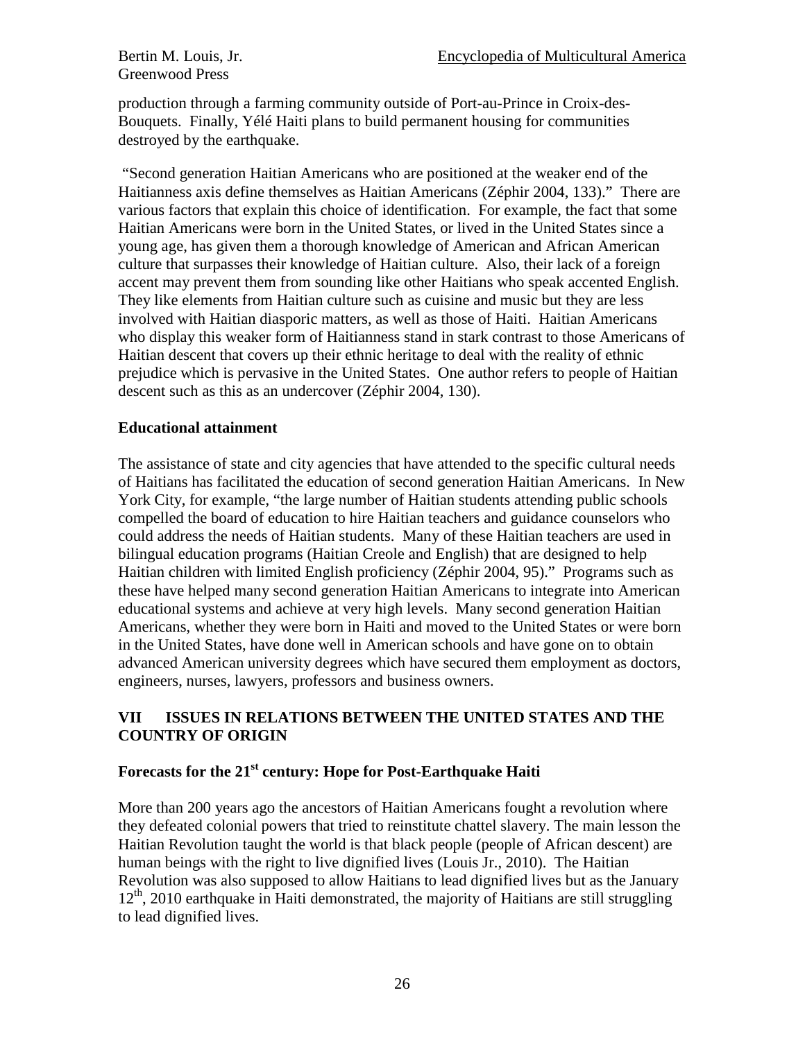production through a farming community outside of Port-au-Prince in Croix-des-Bouquets. Finally, Yélé Haiti plans to build permanent housing for communities destroyed by the earthquake.

"Second generation Haitian Americans who are positioned at the weaker end of the Haitianness axis define themselves as Haitian Americans (Zéphir 2004, 133)." There are various factors that explain this choice of identification. For example, the fact that some Haitian Americans were born in the United States, or lived in the United States since a young age, has given them a thorough knowledge of American and African American culture that surpasses their knowledge of Haitian culture. Also, their lack of a foreign accent may prevent them from sounding like other Haitians who speak accented English. They like elements from Haitian culture such as cuisine and music but they are less involved with Haitian diasporic matters, as well as those of Haiti. Haitian Americans who display this weaker form of Haitianness stand in stark contrast to those Americans of Haitian descent that covers up their ethnic heritage to deal with the reality of ethnic prejudice which is pervasive in the United States. One author refers to people of Haitian descent such as this as an undercover (Zéphir 2004, 130).

## **Educational attainment**

The assistance of state and city agencies that have attended to the specific cultural needs of Haitians has facilitated the education of second generation Haitian Americans. In New York City, for example, "the large number of Haitian students attending public schools compelled the board of education to hire Haitian teachers and guidance counselors who could address the needs of Haitian students. Many of these Haitian teachers are used in bilingual education programs (Haitian Creole and English) that are designed to help Haitian children with limited English proficiency (Zéphir 2004, 95)." Programs such as these have helped many second generation Haitian Americans to integrate into American educational systems and achieve at very high levels. Many second generation Haitian Americans, whether they were born in Haiti and moved to the United States or were born in the United States, have done well in American schools and have gone on to obtain advanced American university degrees which have secured them employment as doctors, engineers, nurses, lawyers, professors and business owners.

# **VII ISSUES IN RELATIONS BETWEEN THE UNITED STATES AND THE COUNTRY OF ORIGIN**

# **Forecasts for the 21st century: Hope for Post-Earthquake Haiti**

More than 200 years ago the ancestors of Haitian Americans fought a revolution where they defeated colonial powers that tried to reinstitute chattel slavery. The main lesson the Haitian Revolution taught the world is that black people (people of African descent) are human beings with the right to live dignified lives (Louis Jr., 2010). The Haitian Revolution was also supposed to allow Haitians to lead dignified lives but as the January  $12<sup>th</sup>$ , 2010 earthquake in Haiti demonstrated, the majority of Haitians are still struggling to lead dignified lives.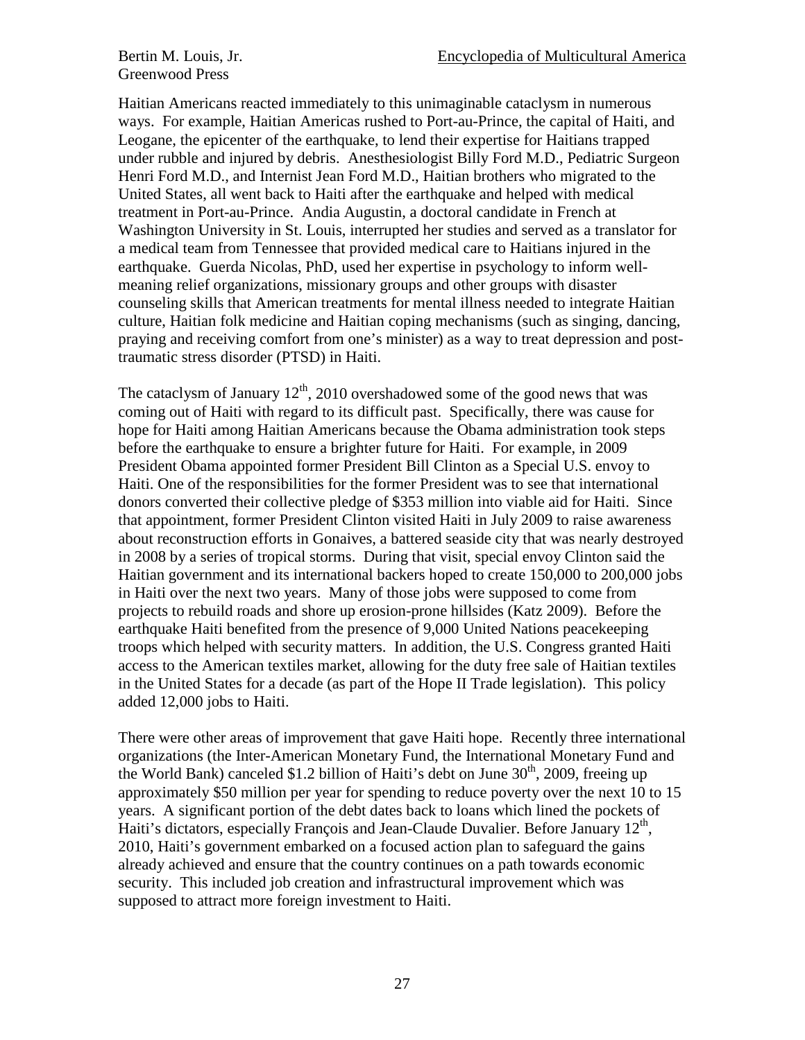Haitian Americans reacted immediately to this unimaginable cataclysm in numerous ways. For example, Haitian Americas rushed to Port-au-Prince, the capital of Haiti, and Leogane, the epicenter of the earthquake, to lend their expertise for Haitians trapped under rubble and injured by debris. Anesthesiologist Billy Ford M.D., Pediatric Surgeon Henri Ford M.D., and Internist Jean Ford M.D., Haitian brothers who migrated to the United States, all went back to Haiti after the earthquake and helped with medical treatment in Port-au-Prince. Andia Augustin, a doctoral candidate in French at Washington University in St. Louis, interrupted her studies and served as a translator for a medical team from Tennessee that provided medical care to Haitians injured in the earthquake. Guerda Nicolas, PhD, used her expertise in psychology to inform wellmeaning relief organizations, missionary groups and other groups with disaster counseling skills that American treatments for mental illness needed to integrate Haitian culture, Haitian folk medicine and Haitian coping mechanisms (such as singing, dancing, praying and receiving comfort from one's minister) as a way to treat depression and posttraumatic stress disorder (PTSD) in Haiti.

The cataclysm of January  $12<sup>th</sup>$ , 2010 overshadowed some of the good news that was coming out of Haiti with regard to its difficult past. Specifically, there was cause for hope for Haiti among Haitian Americans because the Obama administration took steps before the earthquake to ensure a brighter future for Haiti. For example, in 2009 President Obama appointed former President Bill Clinton as a Special U.S. envoy to Haiti. One of the responsibilities for the former President was to see that international donors converted their collective pledge of \$353 million into viable aid for Haiti. Since that appointment, former President Clinton visited Haiti in July 2009 to raise awareness about reconstruction efforts in Gonaives, a battered seaside city that was nearly destroyed in 2008 by a series of tropical storms. During that visit, special envoy Clinton said the Haitian government and its international backers hoped to create 150,000 to 200,000 jobs in Haiti over the next two years. Many of those jobs were supposed to come from projects to rebuild roads and shore up erosion-prone hillsides (Katz 2009). Before the earthquake Haiti benefited from the presence of 9,000 United Nations peacekeeping troops which helped with security matters. In addition, the U.S. Congress granted Haiti access to the American textiles market, allowing for the duty free sale of Haitian textiles in the United States for a decade (as part of the Hope II Trade legislation). This policy added 12,000 jobs to Haiti.

There were other areas of improvement that gave Haiti hope. Recently three international organizations (the Inter-American Monetary Fund, the International Monetary Fund and the World Bank) canceled \$1.2 billion of Haiti's debt on June 30<sup>th</sup>, 2009, freeing up approximately \$50 million per year for spending to reduce poverty over the next 10 to 15 years. A significant portion of the debt dates back to loans which lined the pockets of Haiti's dictators, especially François and Jean-Claude Duvalier. Before January  $12<sup>th</sup>$ , 2010, Haiti's government embarked on a focused action plan to safeguard the gains already achieved and ensure that the country continues on a path towards economic security. This included job creation and infrastructural improvement which was supposed to attract more foreign investment to Haiti.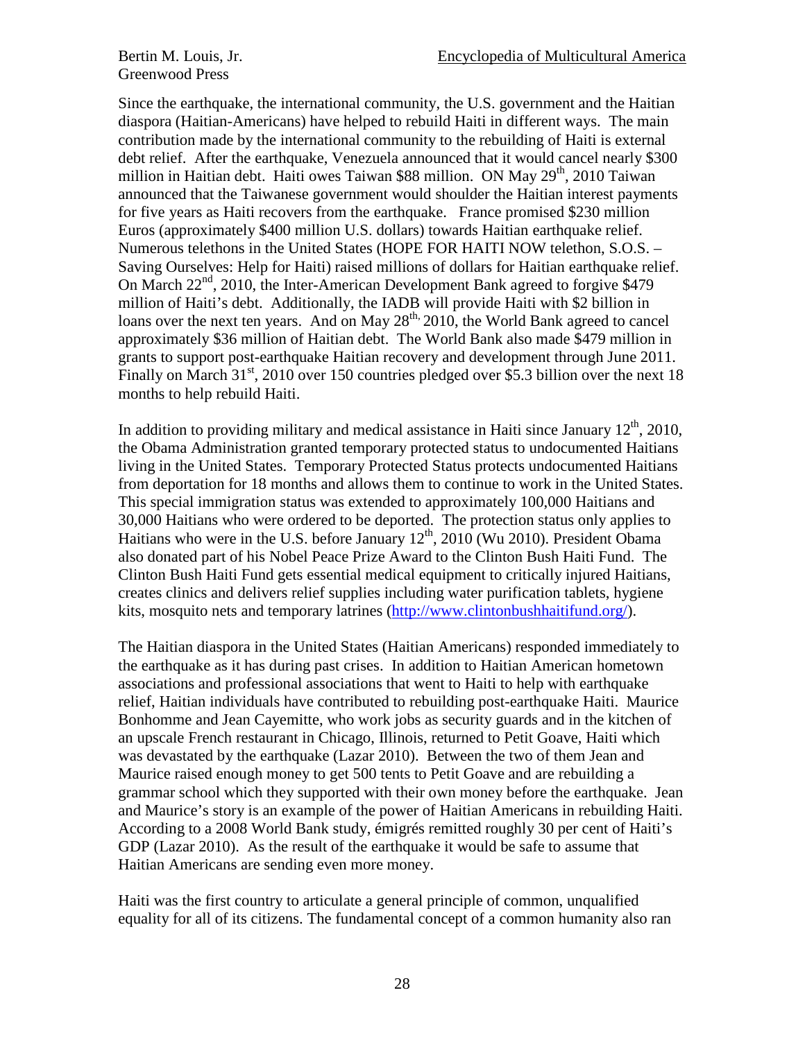Since the earthquake, the international community, the U.S. government and the Haitian diaspora (Haitian-Americans) have helped to rebuild Haiti in different ways. The main contribution made by the international community to the rebuilding of Haiti is external debt relief. After the earthquake, Venezuela announced that it would cancel nearly \$300 million in Haitian debt. Haiti owes Taiwan \$88 million. ON May  $29<sup>th</sup>$ , 2010 Taiwan announced that the Taiwanese government would shoulder the Haitian interest payments for five years as Haiti recovers from the earthquake. France promised \$230 million Euros (approximately \$400 million U.S. dollars) towards Haitian earthquake relief. Numerous telethons in the United States (HOPE FOR HAITI NOW telethon, S.O.S. – Saving Ourselves: Help for Haiti) raised millions of dollars for Haitian earthquake relief. On March  $22<sup>nd</sup>$ , 2010, the Inter-American Development Bank agreed to forgive \$479 million of Haiti's debt. Additionally, the IADB will provide Haiti with \$2 billion in loans over the next ten years. And on May  $28<sup>th</sup>$ , 2010, the World Bank agreed to cancel approximately \$36 million of Haitian debt. The World Bank also made \$479 million in grants to support post-earthquake Haitian recovery and development through June 2011. Finally on March  $31<sup>st</sup>$ , 2010 over 150 countries pledged over \$5.3 billion over the next 18 months to help rebuild Haiti.

In addition to providing military and medical assistance in Haiti since January  $12<sup>th</sup>$ , 2010, the Obama Administration granted temporary protected status to undocumented Haitians living in the United States. Temporary Protected Status protects undocumented Haitians from deportation for 18 months and allows them to continue to work in the United States. This special immigration status was extended to approximately 100,000 Haitians and 30,000 Haitians who were ordered to be deported. The protection status only applies to Haitians who were in the U.S. before January 12<sup>th</sup>, 2010 (Wu 2010). President Obama also donated part of his Nobel Peace Prize Award to the Clinton Bush Haiti Fund. The Clinton Bush Haiti Fund gets essential medical equipment to critically injured Haitians, creates clinics and delivers relief supplies including water purification tablets, hygiene kits, mosquito nets and temporary latrines [\(http://www.clintonbushhaitifund.org/\)](http://www.clintonbushhaitifund.org/).

The Haitian diaspora in the United States (Haitian Americans) responded immediately to the earthquake as it has during past crises. In addition to Haitian American hometown associations and professional associations that went to Haiti to help with earthquake relief, Haitian individuals have contributed to rebuilding post-earthquake Haiti. Maurice Bonhomme and Jean Cayemitte, who work jobs as security guards and in the kitchen of an upscale French restaurant in Chicago, Illinois, returned to Petit Goave, Haiti which was devastated by the earthquake (Lazar 2010). Between the two of them Jean and Maurice raised enough money to get 500 tents to Petit Goave and are rebuilding a grammar school which they supported with their own money before the earthquake. Jean and Maurice's story is an example of the power of Haitian Americans in rebuilding Haiti. According to a 2008 World Bank study, émigrés remitted roughly 30 per cent of Haiti's GDP (Lazar 2010). As the result of the earthquake it would be safe to assume that Haitian Americans are sending even more money.

Haiti was the first country to articulate a general principle of common, unqualified equality for all of its citizens. The fundamental concept of a common humanity also ran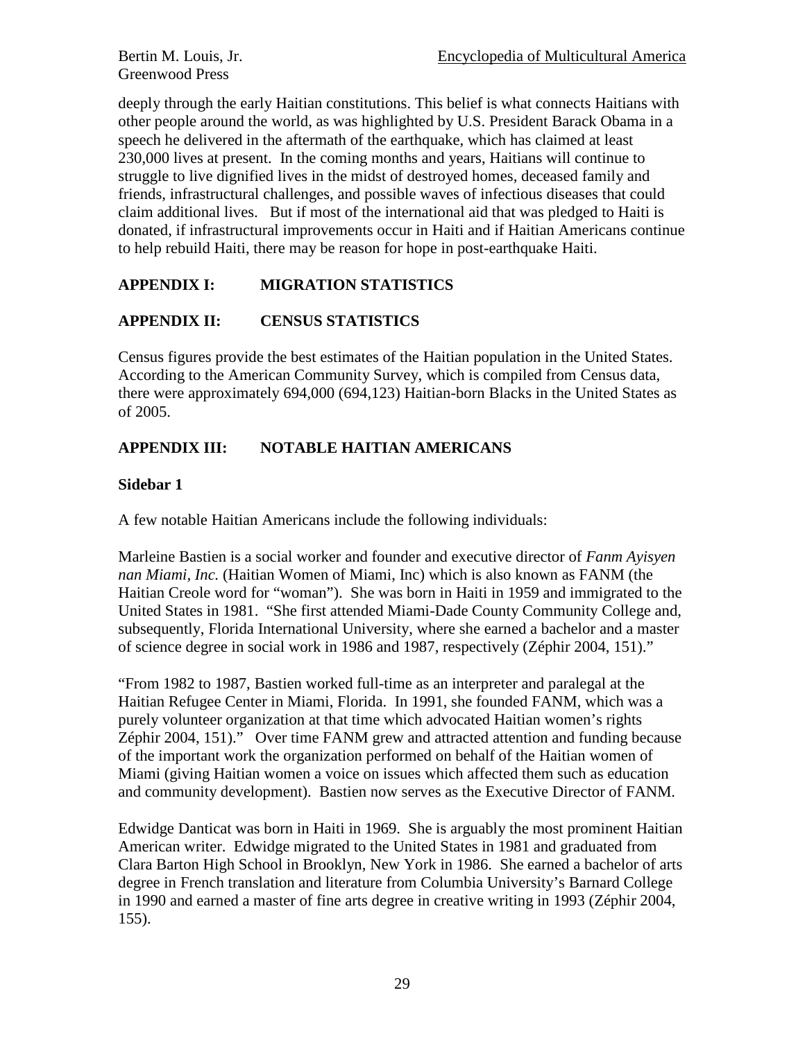deeply through the early Haitian constitutions. This belief is what connects Haitians with other people around the world, as was highlighted by U.S. President Barack Obama in a speech he delivered in the aftermath of the earthquake, which has claimed at least 230,000 lives at present. In the coming months and years, Haitians will continue to struggle to live dignified lives in the midst of destroyed homes, deceased family and friends, infrastructural challenges, and possible waves of infectious diseases that could claim additional lives. But if most of the international aid that was pledged to Haiti is donated, if infrastructural improvements occur in Haiti and if Haitian Americans continue to help rebuild Haiti, there may be reason for hope in post-earthquake Haiti.

# **APPENDIX I: MIGRATION STATISTICS**

# **APPENDIX II: CENSUS STATISTICS**

Census figures provide the best estimates of the Haitian population in the United States. According to the American Community Survey, which is compiled from Census data, there were approximately 694,000 (694,123) Haitian-born Blacks in the United States as of 2005.

# **APPENDIX III: NOTABLE HAITIAN AMERICANS**

# **Sidebar 1**

A few notable Haitian Americans include the following individuals:

Marleine Bastien is a social worker and founder and executive director of *Fanm Ayisyen nan Miami, Inc.* (Haitian Women of Miami, Inc) which is also known as FANM (the Haitian Creole word for "woman"). She was born in Haiti in 1959 and immigrated to the United States in 1981. "She first attended Miami-Dade County Community College and, subsequently, Florida International University, where she earned a bachelor and a master of science degree in social work in 1986 and 1987, respectively (Zéphir 2004, 151)."

"From 1982 to 1987, Bastien worked full-time as an interpreter and paralegal at the Haitian Refugee Center in Miami, Florida. In 1991, she founded FANM, which was a purely volunteer organization at that time which advocated Haitian women's rights Zéphir 2004, 151)." Over time FANM grew and attracted attention and funding because of the important work the organization performed on behalf of the Haitian women of Miami (giving Haitian women a voice on issues which affected them such as education and community development). Bastien now serves as the Executive Director of FANM.

Edwidge Danticat was born in Haiti in 1969. She is arguably the most prominent Haitian American writer. Edwidge migrated to the United States in 1981 and graduated from Clara Barton High School in Brooklyn, New York in 1986. She earned a bachelor of arts degree in French translation and literature from Columbia University's Barnard College in 1990 and earned a master of fine arts degree in creative writing in 1993 (Zéphir 2004, 155).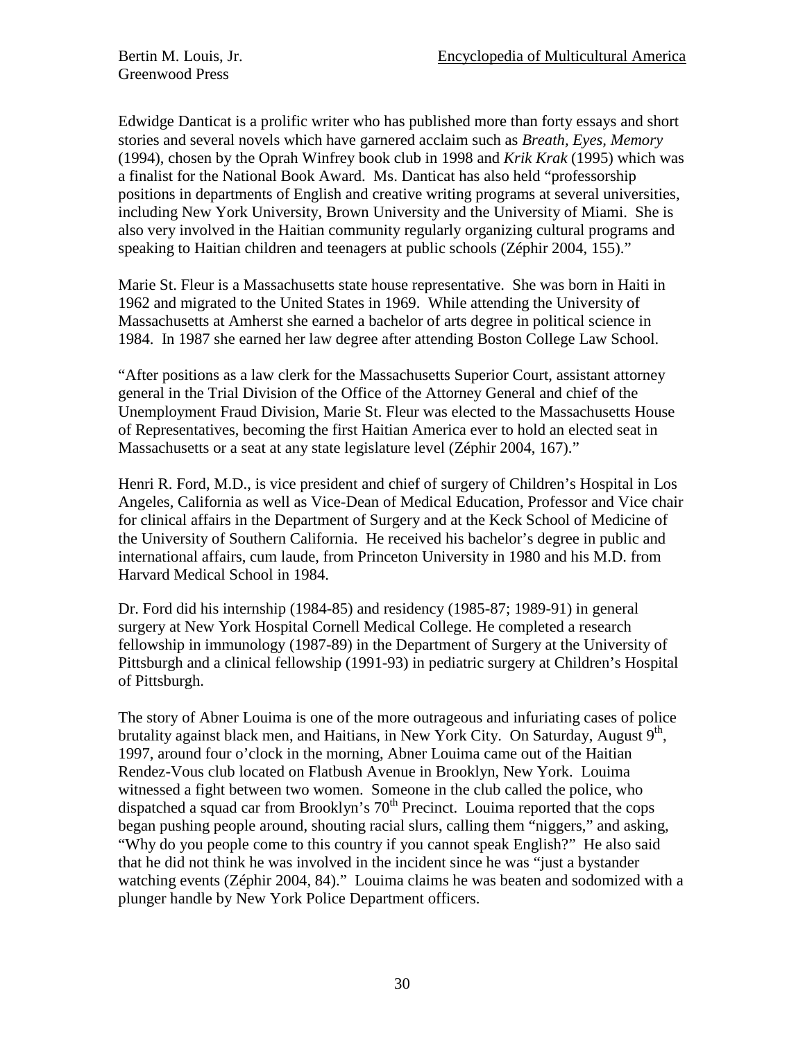Edwidge Danticat is a prolific writer who has published more than forty essays and short stories and several novels which have garnered acclaim such as *Breath, Eyes, Memory*  (1994), chosen by the Oprah Winfrey book club in 1998 and *Krik Krak* (1995) which was a finalist for the National Book Award. Ms. Danticat has also held "professorship positions in departments of English and creative writing programs at several universities, including New York University, Brown University and the University of Miami. She is also very involved in the Haitian community regularly organizing cultural programs and speaking to Haitian children and teenagers at public schools (Zéphir 2004, 155)."

Marie St. Fleur is a Massachusetts state house representative. She was born in Haiti in 1962 and migrated to the United States in 1969. While attending the University of Massachusetts at Amherst she earned a bachelor of arts degree in political science in 1984. In 1987 she earned her law degree after attending Boston College Law School.

"After positions as a law clerk for the Massachusetts Superior Court, assistant attorney general in the Trial Division of the Office of the Attorney General and chief of the Unemployment Fraud Division, Marie St. Fleur was elected to the Massachusetts House of Representatives, becoming the first Haitian America ever to hold an elected seat in Massachusetts or a seat at any state legislature level (Zéphir 2004, 167)."

Henri R. Ford, M.D., is vice president and chief of surgery of Children's Hospital in Los Angeles, California as well as Vice-Dean of Medical Education, Professor and Vice chair for clinical affairs in the Department of Surgery and at the Keck School of Medicine of the University of Southern California. He received his bachelor's degree in public and international affairs, cum laude, from Princeton University in 1980 and his M.D. from Harvard Medical School in 1984.

Dr. Ford did his internship (1984-85) and residency (1985-87; 1989-91) in general surgery at New York Hospital Cornell Medical College. He completed a research fellowship in immunology (1987-89) in the Department of Surgery at the University of Pittsburgh and a clinical fellowship (1991-93) in pediatric surgery at Children's Hospital of Pittsburgh.

The story of Abner Louima is one of the more outrageous and infuriating cases of police brutality against black men, and Haitians, in New York City. On Saturday, August  $9<sup>th</sup>$ , 1997, around four o'clock in the morning, Abner Louima came out of the Haitian Rendez-Vous club located on Flatbush Avenue in Brooklyn, New York. Louima witnessed a fight between two women. Someone in the club called the police, who dispatched a squad car from Brooklyn's  $70<sup>th</sup>$  Precinct. Louima reported that the cops began pushing people around, shouting racial slurs, calling them "niggers," and asking, "Why do you people come to this country if you cannot speak English?" He also said that he did not think he was involved in the incident since he was "just a bystander watching events (Zéphir 2004, 84)." Louima claims he was beaten and sodomized with a plunger handle by New York Police Department officers.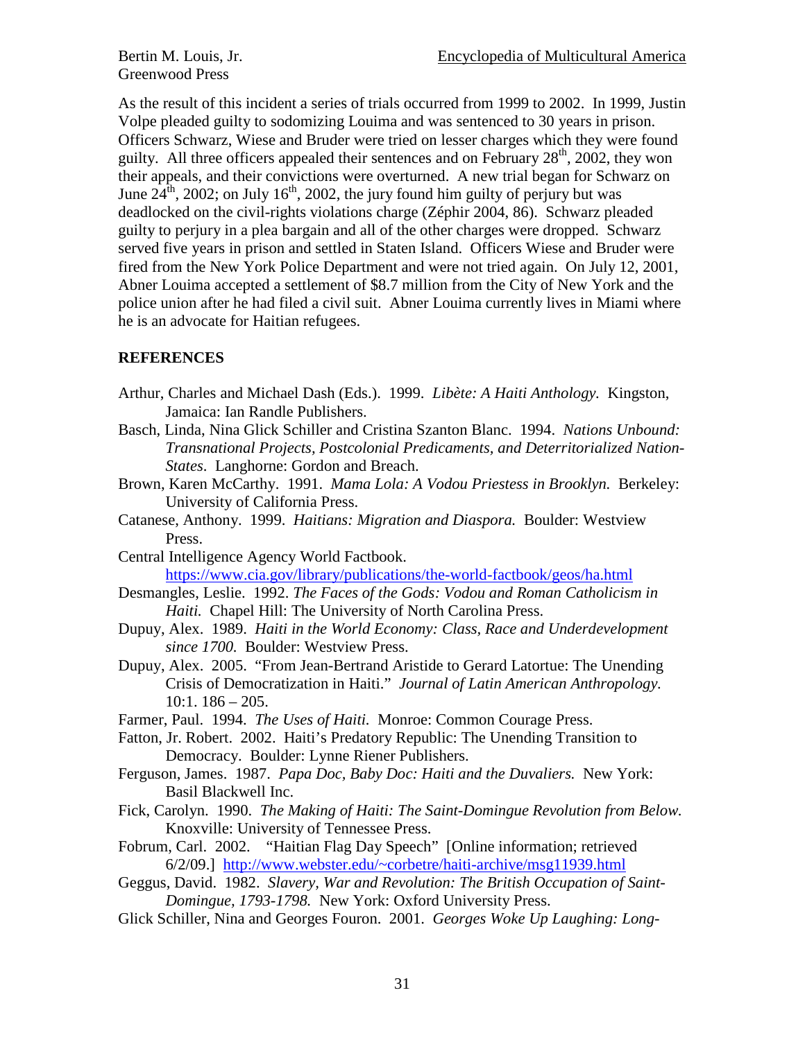As the result of this incident a series of trials occurred from 1999 to 2002. In 1999, Justin Volpe pleaded guilty to sodomizing Louima and was sentenced to 30 years in prison. Officers Schwarz, Wiese and Bruder were tried on lesser charges which they were found guilty. All three officers appealed their sentences and on February  $28<sup>th</sup>$ , 2002, they won their appeals, and their convictions were overturned. A new trial began for Schwarz on June  $24^{th}$ , 2002; on July 16<sup>th</sup>, 2002, the jury found him guilty of perjury but was deadlocked on the civil-rights violations charge (Zéphir 2004, 86). Schwarz pleaded guilty to perjury in a plea bargain and all of the other charges were dropped. Schwarz served five years in prison and settled in Staten Island. Officers Wiese and Bruder were fired from the New York Police Department and were not tried again. On July 12, 2001, Abner Louima accepted a settlement of \$8.7 million from the City of New York and the police union after he had filed a civil suit. Abner Louima currently lives in Miami where he is an advocate for Haitian refugees.

# **REFERENCES**

- Arthur, Charles and Michael Dash (Eds.). 1999. *Libète: A Haiti Anthology.* Kingston, Jamaica: Ian Randle Publishers.
- Basch, Linda, Nina Glick Schiller and Cristina Szanton Blanc. 1994. *Nations Unbound: Transnational Projects, Postcolonial Predicaments, and Deterritorialized Nation-States*. Langhorne: Gordon and Breach.
- Brown, Karen McCarthy. 1991. *Mama Lola: A Vodou Priestess in Brooklyn.* Berkeley: University of California Press.
- Catanese, Anthony. 1999. *Haitians: Migration and Diaspora.* Boulder: Westview Press.
- Central Intelligence Agency World Factbook.

<https://www.cia.gov/library/publications/the-world-factbook/geos/ha.html>

- Desmangles, Leslie. 1992. *The Faces of the Gods: Vodou and Roman Catholicism in Haiti.* Chapel Hill: The University of North Carolina Press.
- Dupuy, Alex. 1989. *Haiti in the World Economy: Class, Race and Underdevelopment since 1700.* Boulder: Westview Press.
- Dupuy, Alex. 2005. "From Jean-Bertrand Aristide to Gerard Latortue: The Unending Crisis of Democratization in Haiti." *Journal of Latin American Anthropology.*   $10:1. 186 - 205.$
- Farmer, Paul. 1994. *The Uses of Haiti.* Monroe: Common Courage Press.
- Fatton, Jr. Robert. 2002. Haiti's Predatory Republic: The Unending Transition to Democracy. Boulder: Lynne Riener Publishers.
- Ferguson, James. 1987. *Papa Doc, Baby Doc: Haiti and the Duvaliers.* New York: Basil Blackwell Inc.
- Fick, Carolyn. 1990. *The Making of Haiti: The Saint-Domingue Revolution from Below.* Knoxville: University of Tennessee Press.
- Fobrum, Carl. 2002."Haitian Flag Day Speech" [Online information; retrieved 6/2/09.] <http://www.webster.edu/~corbetre/haiti-archive/msg11939.html>
- Geggus, David. 1982. *Slavery, War and Revolution: The British Occupation of Saint-Domingue, 1793-1798.* New York: Oxford University Press.
- Glick Schiller, Nina and Georges Fouron. 2001. *Georges Woke Up Laughing: Long-*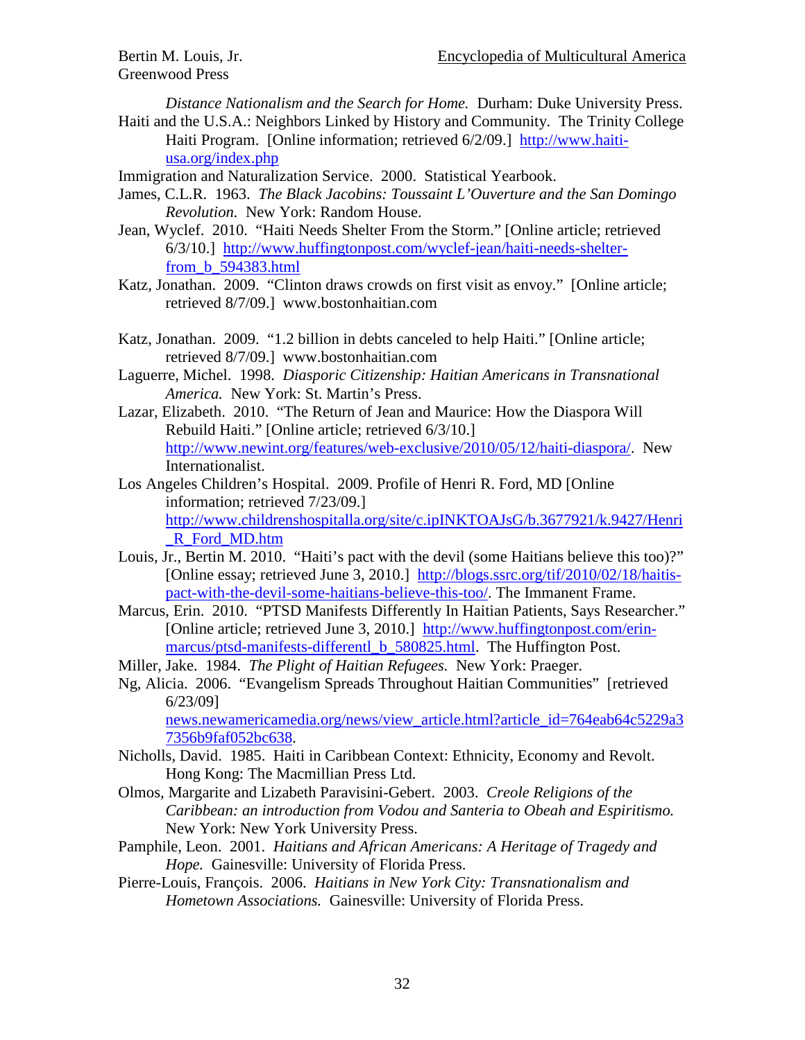*Distance Nationalism and the Search for Home.* Durham: Duke University Press.

Haiti and the U.S.A.: Neighbors Linked by History and Community. The Trinity College Haiti Program. [Online information; retrieved 6/2/09.] [http://www.haiti](http://www.haiti-usa.org/index.php)[usa.org/index.php](http://www.haiti-usa.org/index.php)

Immigration and Naturalization Service. 2000. Statistical Yearbook.

- James, C.L.R. 1963. *The Black Jacobins: Toussaint L'Ouverture and the San Domingo Revolution.* New York: Random House.
- Jean, Wyclef. 2010. "Haiti Needs Shelter From the Storm." [Online article; retrieved 6/3/10.] [http://www.huffingtonpost.com/wyclef-jean/haiti-needs-shelter](http://www.huffingtonpost.com/wyclef-jean/haiti-needs-shelter-from_b_594383.html)[from\\_b\\_594383.html](http://www.huffingtonpost.com/wyclef-jean/haiti-needs-shelter-from_b_594383.html)
- Katz, Jonathan. 2009. "Clinton draws crowds on first visit as envoy." [Online article; retrieved 8/7/09.] www.bostonhaitian.com
- Katz, Jonathan. 2009. "1.2 billion in debts canceled to help Haiti." [Online article; retrieved 8/7/09.] www.bostonhaitian.com
- Laguerre, Michel. 1998. *Diasporic Citizenship: Haitian Americans in Transnational America.* New York: St. Martin's Press.
- Lazar, Elizabeth. 2010. "The Return of Jean and Maurice: How the Diaspora Will Rebuild Haiti." [Online article; retrieved 6/3/10.] [http://www.newint.org/features/web-exclusive/2010/05/12/haiti-diaspora/.](http://www.newint.org/features/web-exclusive/2010/05/12/haiti-diaspora/) New Internationalist.
- Los Angeles Children's Hospital. 2009. Profile of Henri R. Ford, MD [Online information; retrieved 7/23/09.] [http://www.childrenshospitalla.org/site/c.ipINKTOAJsG/b.3677921/k.9427/Henri](http://www.childrenshospitalla.org/site/c.ipINKTOAJsG/b.3677921/k.9427/Henri_R_Ford_MD.htm) [\\_R\\_Ford\\_MD.htm](http://www.childrenshospitalla.org/site/c.ipINKTOAJsG/b.3677921/k.9427/Henri_R_Ford_MD.htm)
- Louis, Jr., Bertin M. 2010. "Haiti's pact with the devil (some Haitians believe this too)?" [Online essay; retrieved June 3, 2010.] [http://blogs.ssrc.org/tif/2010/02/18/haitis](http://blogs.ssrc.org/tif/2010/02/18/haitis-pact-with-the-devil-some-haitians-believe-this-too/)[pact-with-the-devil-some-haitians-believe-this-too/.](http://blogs.ssrc.org/tif/2010/02/18/haitis-pact-with-the-devil-some-haitians-believe-this-too/) The Immanent Frame.
- Marcus, Erin. 2010. "PTSD Manifests Differently In Haitian Patients, Says Researcher." [Online article; retrieved June 3, 2010.] [http://www.huffingtonpost.com/erin](http://www.huffingtonpost.com/erin-marcus/ptsd-manifests-differentl_b_580825.html)[marcus/ptsd-manifests-differentl\\_b\\_580825.html.](http://www.huffingtonpost.com/erin-marcus/ptsd-manifests-differentl_b_580825.html) The Huffington Post.
- Miller, Jake. 1984. *The Plight of Haitian Refugees.* New York: Praeger.
- Ng, Alicia. 2006. "Evangelism Spreads Throughout Haitian Communities" [retrieved 6/23/09]

[news.newamericamedia.org/news/view\\_article.html?article\\_id=764eab64c5229a3](http://news.newamericamedia.org/news/view_article.html?article_id=764eab64c5229a37356b9faf052bc638) [7356b9faf052bc638.](http://news.newamericamedia.org/news/view_article.html?article_id=764eab64c5229a37356b9faf052bc638)

- Nicholls, David. 1985. Haiti in Caribbean Context: Ethnicity, Economy and Revolt. Hong Kong: The Macmillian Press Ltd.
- Olmos, Margarite and Lizabeth Paravisini-Gebert. 2003. *Creole Religions of the Caribbean: an introduction from Vodou and Santeria to Obeah and Espiritismo.* New York: New York University Press.
- Pamphile, Leon. 2001. *Haitians and African Americans: A Heritage of Tragedy and Hope.* Gainesville: University of Florida Press.
- Pierre-Louis, François. 2006. *Haitians in New York City: Transnationalism and Hometown Associations.* Gainesville: University of Florida Press.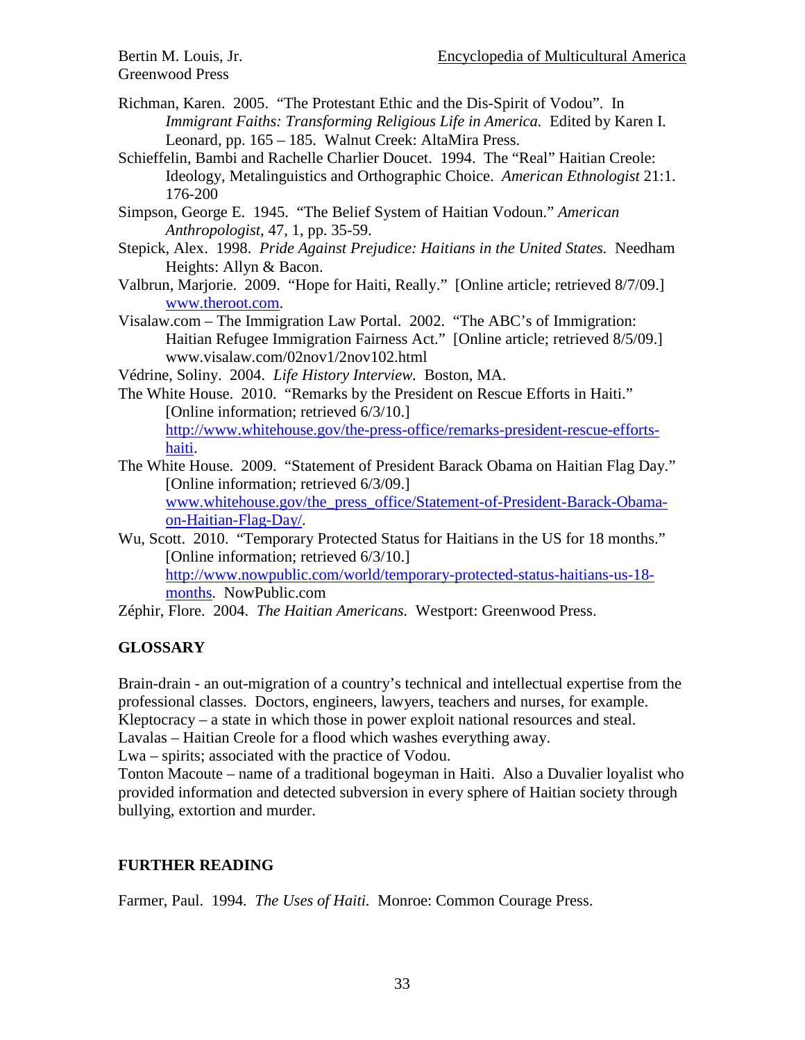Richman, Karen. 2005. "The Protestant Ethic and the Dis-Spirit of Vodou". In *Immigrant Faiths: Transforming Religious Life in America.* Edited by Karen I. Leonard, pp. 165 – 185. Walnut Creek: AltaMira Press.

Schieffelin, Bambi and Rachelle Charlier Doucet. 1994. The "Real" Haitian Creole: Ideology, Metalinguistics and Orthographic Choice. *American Ethnologist* 21:1. 176-200

Simpson, George E. 1945. "The Belief System of Haitian Vodoun." *American Anthropologist,* 47, 1, pp. 35-59.

Stepick, Alex. 1998. *Pride Against Prejudice: Haitians in the United States.* Needham Heights: Allyn & Bacon.

Valbrun, Marjorie. 2009. "Hope for Haiti, Really." [Online article; retrieved 8/7/09.] [www.theroot.com.](http://www.theroot.com/)

Visalaw.com – The Immigration Law Portal. 2002. "The ABC's of Immigration: Haitian Refugee Immigration Fairness Act." [Online article; retrieved 8/5/09.] www.visalaw.com/02nov1/2nov102.html

Védrine, Soliny. 2004. *Life History Interview.* Boston, MA.

The White House. 2010. "Remarks by the President on Rescue Efforts in Haiti." [Online information; retrieved 6/3/10.] [http://www.whitehouse.gov/the-press-office/remarks-president-rescue-efforts](http://www.whitehouse.gov/the-press-office/remarks-president-rescue-efforts-haiti)[haiti.](http://www.whitehouse.gov/the-press-office/remarks-president-rescue-efforts-haiti)

The White House. 2009. "Statement of President Barack Obama on Haitian Flag Day." [Online information; retrieved 6/3/09.] [www.whitehouse.gov/the\\_press\\_office/Statement-of-President-Barack-Obama](http://www.whitehouse.gov/the_press_office/Statement-of-President-Barack-Obama-on-Haitian-Flag-Day/)[on-Haitian-Flag-Day/.](http://www.whitehouse.gov/the_press_office/Statement-of-President-Barack-Obama-on-Haitian-Flag-Day/)

Wu, Scott. 2010. "Temporary Protected Status for Haitians in the US for 18 months." [Online information; retrieved 6/3/10.] [http://www.nowpublic.com/world/temporary-protected-status-haitians-us-18](http://www.nowpublic.com/world/temporary-protected-status-haitians-us-18-months) [months.](http://www.nowpublic.com/world/temporary-protected-status-haitians-us-18-months) NowPublic.com

Zéphir, Flore. 2004. *The Haitian Americans.* Westport: Greenwood Press.

# **GLOSSARY**

Brain-drain - an out-migration of a country's technical and intellectual expertise from the professional classes. Doctors, engineers, lawyers, teachers and nurses, for example. Kleptocracy – a state in which those in power exploit national resources and steal.

Lavalas *–* Haitian Creole for a flood which washes everything away.

Lwa – spirits; associated with the practice of Vodou.

Tonton Macoute – name of a traditional bogeyman in Haiti. Also a Duvalier loyalist who provided information and detected subversion in every sphere of Haitian society through bullying, extortion and murder.

## **FURTHER READING**

Farmer, Paul. 1994. *The Uses of Haiti.* Monroe: Common Courage Press.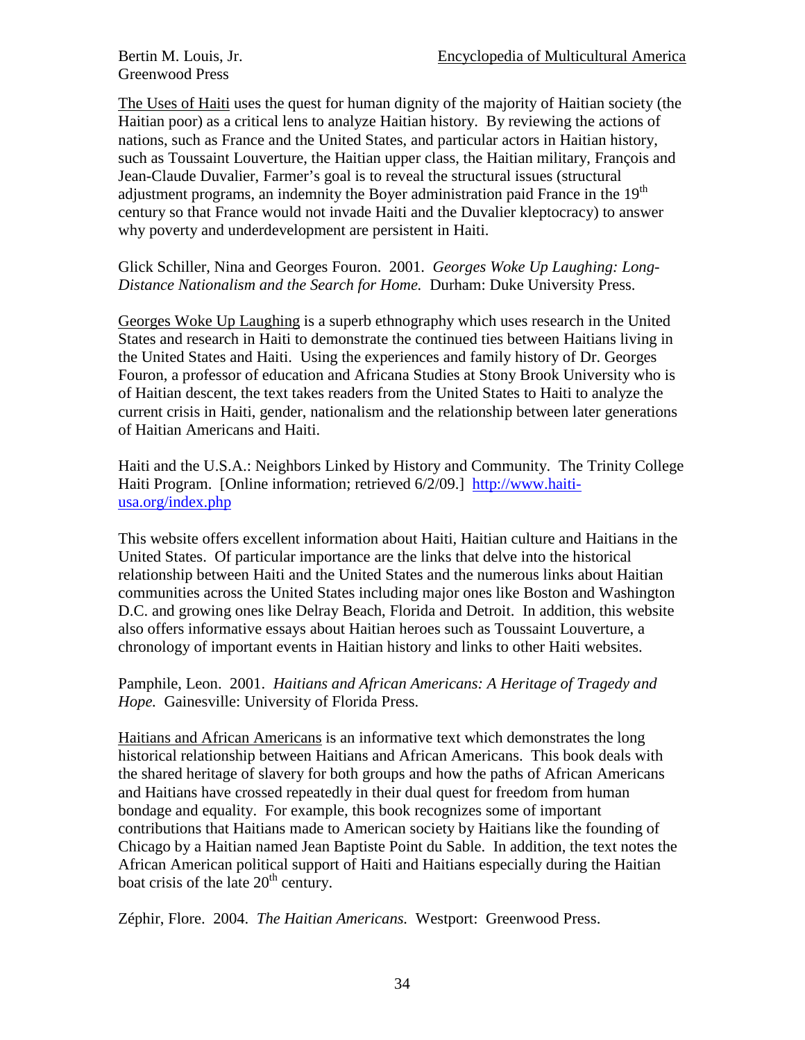The Uses of Haiti uses the quest for human dignity of the majority of Haitian society (the Haitian poor) as a critical lens to analyze Haitian history. By reviewing the actions of nations, such as France and the United States, and particular actors in Haitian history, such as Toussaint Louverture, the Haitian upper class, the Haitian military, François and Jean-Claude Duvalier, Farmer's goal is to reveal the structural issues (structural adjustment programs, an indemnity the Boyer administration paid France in the 19<sup>th</sup> century so that France would not invade Haiti and the Duvalier kleptocracy) to answer why poverty and underdevelopment are persistent in Haiti.

Glick Schiller, Nina and Georges Fouron. 2001. *Georges Woke Up Laughing: Long-Distance Nationalism and the Search for Home.* Durham: Duke University Press.

Georges Woke Up Laughing is a superb ethnography which uses research in the United States and research in Haiti to demonstrate the continued ties between Haitians living in the United States and Haiti. Using the experiences and family history of Dr. Georges Fouron, a professor of education and Africana Studies at Stony Brook University who is of Haitian descent, the text takes readers from the United States to Haiti to analyze the current crisis in Haiti, gender, nationalism and the relationship between later generations of Haitian Americans and Haiti.

Haiti and the U.S.A.: Neighbors Linked by History and Community. The Trinity College Haiti Program. [Online information; retrieved 6/2/09.] [http://www.haiti](http://www.haiti-usa.org/index.php)[usa.org/index.php](http://www.haiti-usa.org/index.php)

This website offers excellent information about Haiti, Haitian culture and Haitians in the United States. Of particular importance are the links that delve into the historical relationship between Haiti and the United States and the numerous links about Haitian communities across the United States including major ones like Boston and Washington D.C. and growing ones like Delray Beach, Florida and Detroit. In addition, this website also offers informative essays about Haitian heroes such as Toussaint Louverture, a chronology of important events in Haitian history and links to other Haiti websites.

Pamphile, Leon. 2001. *Haitians and African Americans: A Heritage of Tragedy and Hope.* Gainesville: University of Florida Press.

Haitians and African Americans is an informative text which demonstrates the long historical relationship between Haitians and African Americans. This book deals with the shared heritage of slavery for both groups and how the paths of African Americans and Haitians have crossed repeatedly in their dual quest for freedom from human bondage and equality. For example, this book recognizes some of important contributions that Haitians made to American society by Haitians like the founding of Chicago by a Haitian named Jean Baptiste Point du Sable. In addition, the text notes the African American political support of Haiti and Haitians especially during the Haitian boat crisis of the late  $20<sup>th</sup>$  century.

Zéphir, Flore. 2004. *The Haitian Americans.* Westport: Greenwood Press.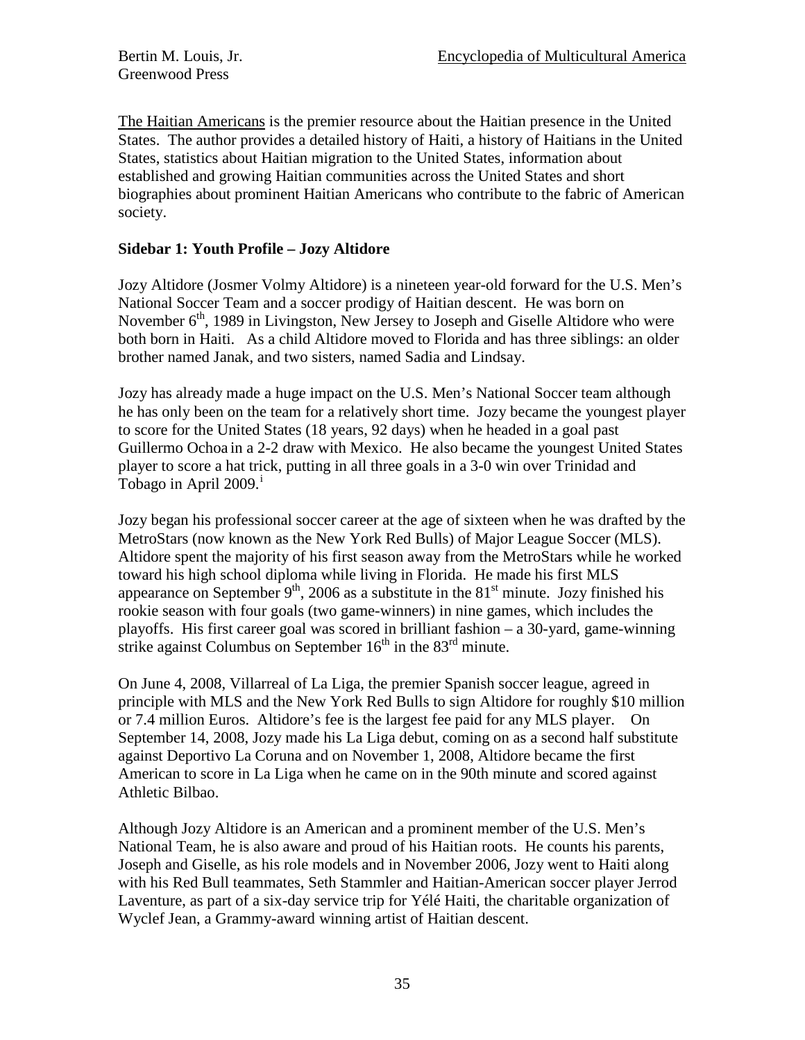The Haitian Americans is the premier resource about the Haitian presence in the United States. The author provides a detailed history of Haiti, a history of Haitians in the United States, statistics about Haitian migration to the United States, information about established and growing Haitian communities across the United States and short biographies about prominent Haitian Americans who contribute to the fabric of American society.

## **Sidebar 1: Youth Profile – Jozy Altidore**

Jozy Altidore (Josmer Volmy Altidore) is a nineteen year-old forward for the U.S. Men's National Soccer Team and a soccer prodigy of Haitian descent. He was born on November 6<sup>th</sup>, 1989 in Livingston, New Jersey to Joseph and Giselle Altidore who were both born in Haiti. As a child Altidore moved to Florida and has three siblings: an older brother named Janak, and two sisters, named Sadia and Lindsay.

Jozy has already made a huge impact on the U.S. Men's National Soccer team although he has only been on the team for a relatively short time. Jozy became the youngest player to score for the United States (18 years, 92 days) when he headed in a goal past Guillermo Ochoa in a 2-2 draw with Mexico. He also became the youngest United States player to score a hat trick, putting in all three goals in a 3-0 win over Trinidad and Tobago [i](#page-37-0)n April  $2009<sup>i</sup>$ 

Jozy began his professional soccer career at the age of sixteen when he was drafted by the MetroStars (now known as the New York Red Bulls) of Major League Soccer (MLS). Altidore spent the majority of his first season away from the MetroStars while he worked toward his high school diploma while living in Florida. He made his first MLS appearance on September  $9<sup>th</sup>$ , 2006 as a substitute in the 81<sup>st</sup> minute. Jozy finished his rookie season with four goals (two game-winners) in nine games, which includes the playoffs. His first career goal was scored in brilliant fashion – a 30-yard, game-winning strike against Columbus on September  $16<sup>th</sup>$  in the  $83<sup>rd</sup>$  minute.

On June 4, 2008, Villarreal of La Liga, the premier Spanish soccer league, agreed in principle with MLS and the New York Red Bulls to sign Altidore for roughly \$10 million or 7.4 million Euros. Altidore's fee is the largest fee paid for any MLS player. On September 14, 2008, Jozy made his La Liga debut, coming on as a second half substitute against Deportivo La Coruna and on November 1, 2008, Altidore became the first American to score in La Liga when he came on in the 90th minute and scored against Athletic Bilbao.

Although Jozy Altidore is an American and a prominent member of the U.S. Men's National Team, he is also aware and proud of his Haitian roots. He counts his parents, Joseph and Giselle, as his role models and in November 2006, Jozy went to Haiti along with his Red Bull teammates, Seth Stammler and Haitian-American soccer player Jerrod Laventure, as part of a six-day service trip for Yélé Haiti, the charitable organization of Wyclef Jean, a Grammy-award winning artist of Haitian descent.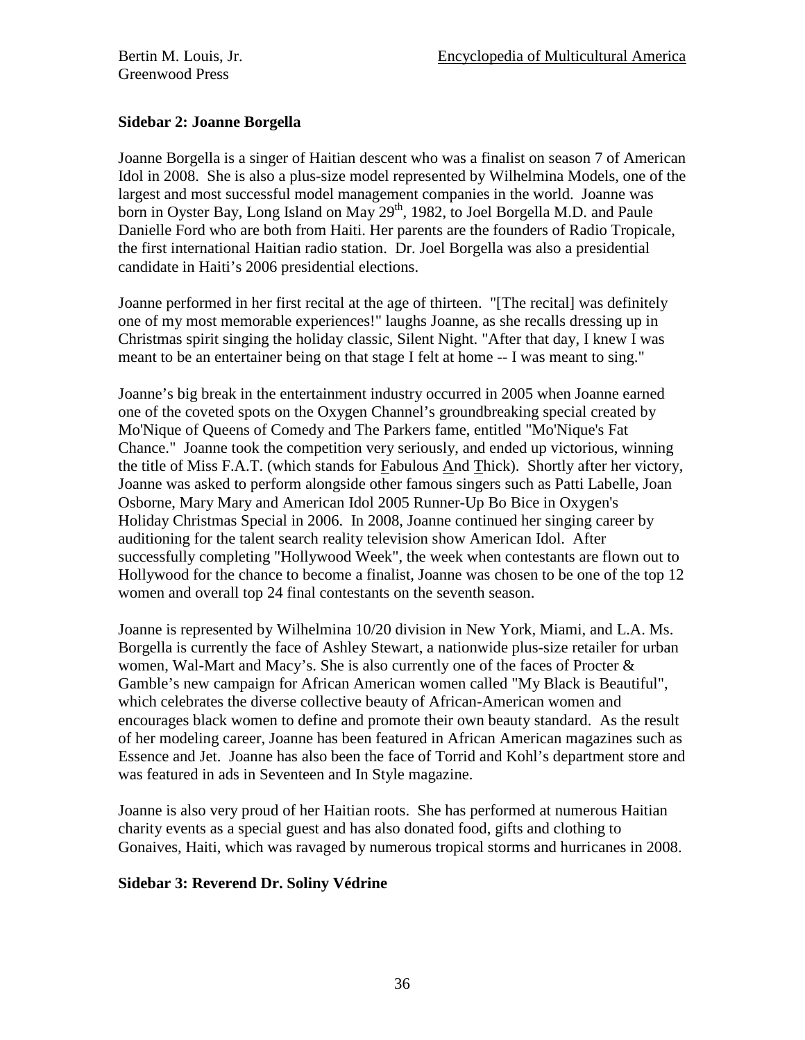## **Sidebar 2: Joanne Borgella**

Joanne Borgella is a singer of Haitian descent who was a finalist on season 7 of American Idol in 2008. She is also a plus-size model represented by Wilhelmina Models, one of the largest and most successful model management companies in the world. Joanne was born in Oyster Bay, Long Island on May  $29<sup>th</sup>$ , 1982, to Joel Borgella M.D. and Paule Danielle Ford who are both from Haiti. Her parents are the founders of Radio Tropicale, the first international Haitian radio station. Dr. Joel Borgella was also a presidential candidate in Haiti's 2006 presidential elections.

Joanne performed in her first recital at the age of thirteen. "[The recital] was definitely one of my most memorable experiences!" laughs Joanne, as she recalls dressing up in Christmas spirit singing the holiday classic, Silent Night. "After that day, I knew I was meant to be an entertainer being on that stage I felt at home -- I was meant to sing."

Joanne's big break in the entertainment industry occurred in 2005 when Joanne earned one of the coveted spots on the Oxygen Channel's groundbreaking special created by Mo'Nique of Queens of Comedy and The Parkers fame, entitled "Mo'Nique's Fat Chance." Joanne took the competition very seriously, and ended up victorious, winning the title of Miss F.A.T. (which stands for Fabulous And Thick). Shortly after her victory, Joanne was asked to perform alongside other famous singers such as Patti Labelle, Joan Osborne, Mary Mary and American Idol 2005 Runner-Up Bo Bice in Oxygen's Holiday Christmas Special in 2006. In 2008, Joanne continued her singing career by auditioning for the talent search reality television show American Idol. After successfully completing "Hollywood Week", the week when contestants are flown out to Hollywood for the chance to become a finalist, Joanne was chosen to be one of the top 12 women and overall top 24 final contestants on the seventh season.

Joanne is represented by Wilhelmina 10/20 division in New York, Miami, and L.A. Ms. Borgella is currently the face of Ashley Stewart, a nationwide plus-size retailer for urban women, Wal-Mart and Macy's. She is also currently one of the faces of Procter & Gamble's new campaign for African American women called "My Black is Beautiful", which celebrates the diverse collective beauty of African-American women and encourages black women to define and promote their own beauty standard. As the result of her modeling career, Joanne has been featured in African American magazines such as Essence and Jet. Joanne has also been the face of Torrid and Kohl's department store and was featured in ads in Seventeen and In Style magazine.

Joanne is also very proud of her Haitian roots. She has performed at numerous Haitian charity events as a special guest and has also donated food, gifts and clothing to Gonaives, Haiti, which was ravaged by numerous tropical storms and hurricanes in 2008.

#### **Sidebar 3: Reverend Dr. Soliny Védrine**